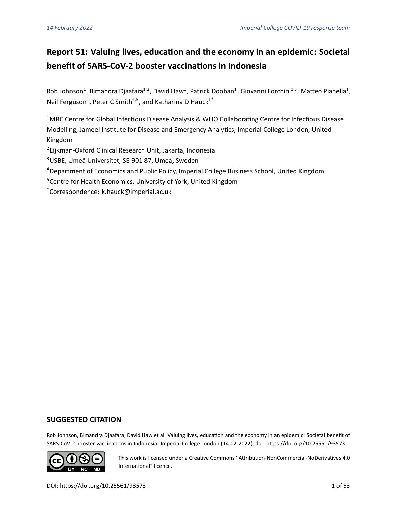# **Report 51: Valuing lives, education and the economy in an epidemic: Societal benefit of SARS-CoV-2 booster vaccinations in Indonesia**

Rob Johnson<sup>1</sup>, Bimandra Djaafara<sup>1,2</sup>, David Haw<sup>1</sup>, Patrick Doohan<sup>1</sup>, Giovanni Forchini<sup>1,3</sup>, Matteo Pianella<sup>1</sup>, Neil Ferguson<sup>1</sup>, Peter C Smith<sup>4,5</sup>, and Katharina D Hauck<sup>1\*</sup>

<sup>1</sup>MRC Centre for Global Infectious Disease Analysis & WHO Collaborating Centre for Infectious Disease Modelling, Jameel Institute for Disease and Emergency Analytics, Imperial College London, United Kingdom

2 Eijkman-Oxford Clinical Research Unit, Jakarta, Indonesia

<sup>3</sup>USBE, Umeå Universitet, SE-901 87, Umeå, Sweden

- <sup>4</sup> Department of Economics and Public Policy, Imperial College Business School, United Kingdom
- <sup>5</sup> Centre for Health Economics, University of York, United Kingdom

\*Correspondence: k.hauck@imperial.ac.uk

# **SUGGESTED CITATION**

Rob Johnson, Bimandra Djaafara, David Haw et al. Valuing lives, education and the economy in an epidemic: Societal benefit of SARS-CoV-2 booster vaccinations in Indonesia. Imperial College London (14-02-2022), doi: https://doi.org/10.25561/93573.



This work is licensed undera [Creative Commons "Attribution-NonCommercial-NoDerivatives 4.0](https://creativecommons.org/licenses/by-nc-nd/4.0/deed.en) [International"](https://creativecommons.org/licenses/by-nc-nd/4.0/deed.en) licence.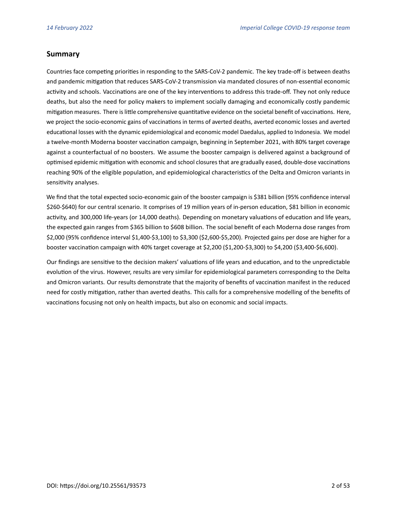# **Summary**

Countries face competing priorities in responding to the SARS-CoV-2 pandemic. The key trade-off is between deaths and pandemic mitigation that reduces SARS-CoV-2 transmission via mandated closures of non-essential economic activity and schools. Vaccinations are one of the key interventions to address this trade-off. They not only reduce deaths, but also the need for policy makers to implement socially damaging and economically costly pandemic mitigation measures. There is little comprehensive quantitative evidence on the societal benefit of vaccinations. Here, we project the socio-economic gains of vaccinations in terms of averted deaths, averted economic losses and averted educational losses with the dynamic epidemiological and economic model Daedalus, applied to Indonesia. We model a twelve-month Moderna booster vaccination campaign, beginning in September 2021, with 80% target coverage against a counterfactual of no boosters. We assume the booster campaign is delivered against a background of optimised epidemic mitigation with economic and school closures that are gradually eased, double-dose vaccinations reaching 90% of the eligible population, and epidemiological characteristics of the Delta and Omicron variants in sensitivity analyses.

We find that the total expected socio-economic gain of the booster campaign is \$381 billion (95% confidence interval \$260-\$640) for our central scenario. It comprises of 19 million years of in-person education, \$81 billion in economic activity, and 300,000 life-years (or 14,000 deaths). Depending on monetary valuations of education and life years, the expected gain ranges from \$365 billion to \$608 billion. The social benefit of each Moderna dose ranges from \$2,000 (95% confidence interval \$1,400-\$3,100) to \$3,300 (\$2,600-\$5,200). Projected gains per dose are higher for a booster vaccination campaign with 40% target coverage at \$2,200 (\$1,200-\$3,300) to \$4,200 (\$3,400-\$6,600).

Our findings are sensitive to the decision makers' valuations of life years and education, and to the unpredictable evolution of the virus. However, results are very similar for epidemiological parameters corresponding to the Delta and Omicron variants. Our results demonstrate that the majority of benefits of vaccination manifest in the reduced need for costly mitigation, rather than averted deaths. This calls for a comprehensive modelling of the benefits of vaccinations focusing not only on health impacts, but also on economic and social impacts.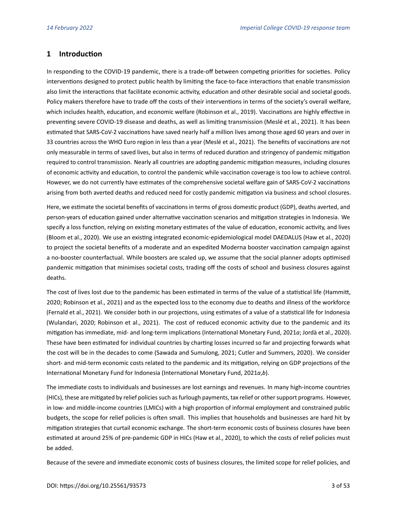# **1 Introduction**

In responding to the COVID-19 pandemic, there is a trade-off between competing priorities for societies. Policy interventions designed to protect public health by limiting the face-to-face interactions that enable transmission also limit the interactions that facilitate economic activity, education and other desirable social and societal goods. Policy makers therefore have to trade off the costs of their interventions in terms of the society's overall welfare, which includes health, education, and economic welfare [\(Robinson et al., 2019\)](#page-25-0). Vaccinations are highly effective in preventing severe COVID-19 disease and deaths, as well as limiting transmission [\(Meslé et al., 2021\)](#page-24-0). It has been estimated that SARS-CoV-2 vaccinations have saved nearly half a million lives among those aged 60 years and over in 33 countries across the WHO Euro region in less than a year [\(Meslé et al., 2021\)](#page-24-0). The benefits of vaccinations are not only measurable in terms of saved lives, but also in terms of reduced duration and stringency of pandemic mitigation required to control transmission. Nearly all countries are adopting pandemic mitigation measures, including closures of economic activity and education, to control the pandemic while vaccination coverage is too low to achieve control. However, we do not currently have estimates of the comprehensive societal welfare gain of SARS-CoV-2 vaccinations arising from both averted deaths and reduced need for costly pandemic mitigation via business and school closures.

Here, we estimate the societal benefits of vaccinations in terms of gross domestic product (GDP), deaths averted, and person-years of education gained under alternative vaccination scenarios and mitigation strategies in Indonesia. We specify a loss function, relying on existing monetary estimates of the value of education, economic activity, and lives [\(Bloom et al., 2020\)](#page-22-0). We use an existing integrated economic-epidemiological model DAEDALUS [\(Haw et al., 2020\)](#page-23-0) to project the societal benefits of a moderate and an expedited Moderna booster vaccination campaign against a no-booster counterfactual. While boosters are scaled up, we assume that the social planner adopts optimised pandemic mitigation that minimises societal costs, trading off the costs of school and business closures against deaths.

The cost of lives lost due to the pandemic has been estimated in terms of the value of a statistical life [\(Hammitt,](#page-23-1) [2020;](#page-23-1) [Robinson et al., 2021\)](#page-25-1) and as the expected loss to the economy due to deaths and illness of the workforce [\(Fernald et al., 2021\)](#page-23-2). We consider both in our projections, using estimates of a value of a statistical life for Indonesia [\(Wulandari, 2020;](#page-26-0) [Robinson et al., 2021\)](#page-25-1). The cost of reduced economic activity due to the pandemic and its mitigation has immediate, mid- and long-term implications [\(International Monetary Fund, 2021](#page-24-1)*a*; [Jordà et al., 2020\)](#page-24-2). These have been estimated for individual countries by charting losses incurred so far and projecting forwards what the cost will be in the decades to come [\(Sawada and Sumulong, 2021;](#page-25-2) [Cutler and Summers, 2020\)](#page-22-1). We consider short- and mid-term economic costs related to the pandemic and its mitigation, relying on GDP projections of the International Monetary Fund for Indonesia [\(International Monetary Fund, 2021](#page-24-1)*a*,*[b](#page-24-3)*).

The immediate costs to individuals and businesses are lost earnings and revenues. In many high-income countries (HICs), these are mitigated by relief policies such as furlough payments, tax relief or other support programs. However, in low- and middle-income countries (LMICs) with a high proportion of informal employment and constrained public budgets, the scope for relief policies is often small. This implies that households and businesses are hard hit by mitigation strategies that curtail economic exchange. The short-term economic costs of business closures have been estimated at around 25% of pre-pandemic GDP in HICs [\(Haw et al., 2020\)](#page-23-0), to which the costs of relief policies must be added.

Because of the severe and immediate economic costs of business closures, the limited scope for relief policies, and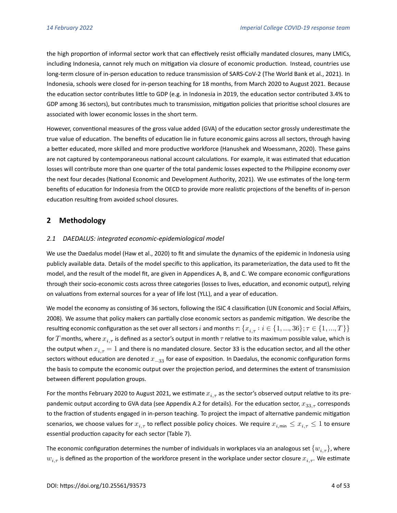the high proportion of informal sector work that can effectively resist officially mandated closures, many LMICs, including Indonesia, cannot rely much on mitigation via closure of economic production. Instead, countries use long-term closure of in-person education to reduce transmission of SARS-CoV-2 [\(The World Bank et al., 2021\)](#page-25-3). In Indonesia, schools were closed for in-person teaching for 18 months, from March 2020 to August 2021. Because the education sector contributes little to GDP (e.g. in Indonesia in 2019, the education sector contributed 3.4% to GDP among 36 sectors), but contributes much to transmission, mitigation policies that prioritise school closures are associated with lower economic losses in the short term.

However, conventional measures of the gross value added (GVA) of the education sector grossly underestimate the true value of education. The benefits of education lie in future economic gains across all sectors, through having a better educated, more skilled and more productive workforce [\(Hanushek and Woessmann, 2020\)](#page-23-3). These gains are not captured by contemporaneous national account calculations. For example, it was estimated that education losses will contribute more than one quarter of the total pandemic losses expected to the Philippine economy over the next four decades [\(National Economic and Development Authority, 2021\)](#page-24-4). We use estimates of the long-term benefits of education for Indonesia from the OECD to provide more realistic projections of the benefits of in-person education resulting from avoided school closures.

# **2 Methodology**

#### *2.1 DAEDALUS: integrated economic-epidemiological model*

We use the Daedalus model [\(Haw et al., 2020\)](#page-23-0) to fit and simulate the dynamics of the epidemic in Indonesia using publicly available data. Details of the model specific to this application, its parameterization, the data used to fit the model, and the result of the model fit, are given in Appendices [A,](#page-27-0) [B,](#page-33-0) and [C.](#page-42-0) We compare economic configurations through their socio-economic costs across three categories (losses to lives, education, and economic output), relying on valuations from external sources for a year of life lost (YLL), and a year of education.

We model the economy as consisting of 36 sectors, following the ISIC 4 classification [\(UN Economic and Social Affairs,](#page-25-4) [2008\)](#page-25-4). We assume that policy makers can partially close economic sectors as pandemic mitigation. We describe the resulting economic configuration as the set over all sectors *i* and months  $\tau$ . { $x_{i,\tau}: i \in \{1,...,36\}$ ;  $\tau \in \{1,...,T\}$ } for T months, where  $x_{i,\tau}$  is defined as a sector's output in month  $\tau$  relative to its maximum possible value, which is the output when  $x_{i,\tau} = 1$  and there is no mandated closure. Sector 33 is the education sector, and all the other sectors without education are denoted  $x_{-33}$  for ease of exposition. In Daedalus, the economic configuration forms the basis to compute the economic output over the projection period, and determines the extent of transmission between different population groups.

For the months February 2020 to August 2021, we estimate  $x_{i,\tau}$  as the sector's observed output relative to its pre-pandemic output according to GVA data (see Appendix [A.2](#page-27-1) for details). For the education sector,  $x_{33,\tau}$  corresponds to the fraction of students engaged in in-person teaching. To project the impact of alternative pandemic mitigation scenarios, we choose values for  $x_{i,\tau}$  to reflect possible policy choices. We require  $x_{i,\min} \leq x_{i,\tau} \leq 1$  to ensure essential production capacity for each sector (Table [7\)](#page-27-2).

The economic configuration determines the number of individuals in workplaces via an analogous set  $\{w_{i,\tau}\}\$ , where  $w_{i,\tau}$  is defined as the proportion of the workforce present in the workplace under sector closure  $x_{i,\tau}$ . We estimate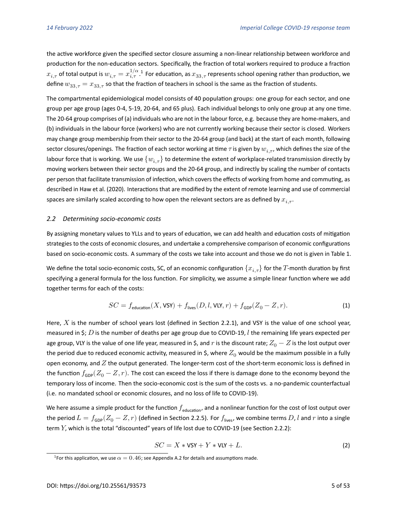the active workforce given the specified sector closure assuming a non-linear relationship between workforce and production for the non-education sectors. Specifically, the fraction of total workers required to produce a fraction  $x_{i,\tau}$  of total output is  $w_{i,\tau}=x_{i,\tau}^{1/\alpha}$  $w_{i,\tau}=x_{i,\tau}^{1/\alpha}$  $w_{i,\tau}=x_{i,\tau}^{1/\alpha}$  .1 For education, as  $x_{33,\tau}$  represents school opening rather than production, we define  $w_{33, \tau} = x_{33, \tau}$  so that the fraction of teachers in school is the same as the fraction of students.

The compartmental epidemiological model consists of 40 population groups: one group for each sector, and one group per age group (ages 0-4, 5-19, 20-64, and 65 plus). Each individual belongs to only one group at any one time. The 20-64 group comprises of (a) individuals who are not in the labour force, e.g. because they are home-makers, and (b) individuals in the labour force (workers) who are not currently working because their sector is closed. Workers may change group membership from their sector to the 20-64 group (and back) at the start of each month, following sector closures/openings. The fraction of each sector working at time  $\tau$  is given by  $w_{i,\tau}$ , which defines the size of the labour force that is working. We use  $\{w_{i,\tau}\}$  to determine the extent of workplace-related transmission directly by moving workers between their sector groups and the 20-64 group, and indirectly by scaling the number of contacts per person that facilitate transmission of infection, which covers the effects of working from home and commuting, as describedin [Haw et al. \(2020\)](#page-23-0). Interactions that are modified by the extent of remote learning and use of commercial spaces are similarly scaled according to how open the relevant sectors are as defined by  $x_{i, \tau}$ .

#### *2.2 Determining socio-economic costs*

By assigning monetary values to YLLs and to years of education, we can add health and education costs of mitigation strategies to the costs of economic closures, and undertake a comprehensive comparison of economic configurations based on socio-economic costs. A summary of the costs we take into account and those we do not is given in Table [1.](#page-10-0)

We define the total socio-economic costs, SC, of an economic configuration  $\{x_{i,\tau}\}\;$  for the T-month duration by first specifying a general formula for the loss function. For simplicity, we assume a simple linear function where we add together terms for each of the costs:

$$
SC = f_{\text{eduction}}(X, \text{VSY}) + f_{\text{lives}}(D, l, \text{VLY}, r) + f_{\text{GDP}}(Z_0 - Z, r). \tag{1}
$$

Here,  $X$  is the number of school years lost (defined in Section [2.2.1\)](#page-5-0), and VSY is the value of one school year, measured in \$; D is the number of deaths per age group due to COVID-19, *l* the remaining life years expected per age group, VLY is the value of one life year, measured in \$, and r is the discount rate;  $Z_0 - Z$  is the lost output over the period due to reduced economic activity, measured in \$, where  $Z_0$  would be the maximum possible in a fully open economy, and  $Z$  the output generated. The longer-term cost of the short-term economic loss is defined in the function  $f_{GDP}(Z_0 - Z, r)$ . The cost can exceed the loss if there is damage done to the economy beyond the temporary loss of income. Then the socio-economic cost is the sum of the costs vs. a no-pandemic counterfactual (i.e. no mandated school or economic closures, and no loss of life to COVID-19).

We here assume a simple product for the function  $f_{\text{eduction}}$ , and a nonlinear function for the cost of lost output over the period  $L = f_{GDP}(Z_0 - Z, r)$  (defined in Section [2.2.5\)](#page-7-0). For  $f_{\text{lives}}$ , we combine terms D, l and r into a single term  $Y$ , which is the total "discounted" years of life lost due to COVID-19 (see Section [2.2.2\)](#page-5-1):

<span id="page-4-1"></span>
$$
SC = X * VSY + Y * VLY + L.
$$
 (2)

<span id="page-4-0"></span><sup>&</sup>lt;sup>1</sup>For this application, we use  $\alpha=0.46$ ; see Appendix [A.2](#page-27-1) for details and assumptions made.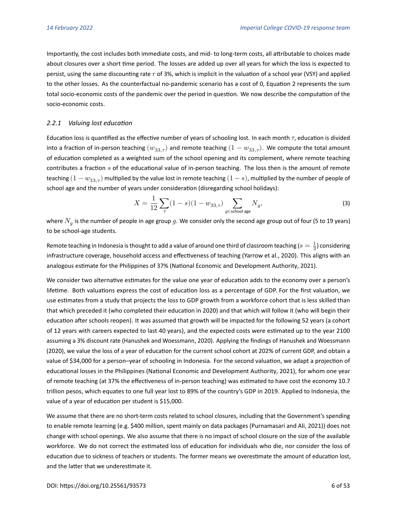Importantly, the cost includes both immediate costs, and mid- to long-term costs, all attributable to choices made about closures over a short time period. The losses are added up over all years for which the loss is expected to persist, using the same discounting rate  $r$  of 3%, which is implicit in the valuation of a school year (VSY) and applied to the other losses. As the counterfactual no-pandemic scenario has a cost of 0, Equation [2](#page-4-1) represents the sum total socio-economic costs of the pandemic over the period in question. We now describe the computation of the socio-economic costs.

#### <span id="page-5-0"></span>*2.2.1 Valuing lost education*

Education loss is quantified as the effective number of years of schooling lost. In each month  $\tau$ , education is divided into a fraction of in-person teaching  $(w_{33,\tau})$  and remote teaching  $(1 - w_{33,\tau})$ . We compute the total amount of education completed as a weighted sum of the school opening and its complement, where remote teaching contributes a fraction  $s$  of the educational value of in-person teaching. The loss then is the amount of remote teaching  $(1 - w_{33,\tau})$  multiplied by the value lost in remote teaching  $(1 - s)$ , multiplied by the number of people of school age and the number of years under consideration (disregarding school holidays):

$$
X=\frac{1}{12}\sum_{\tau}(1-s)(1-w_{33,\tau})\sum_{g\in\text{school age}}N_g, \tag{3}
$$

where  $N_{g}$  is the number of people in age group  $g.$  We consider only the second age group out of four (5 to 19 years) to be school-age students.

Remote teaching in Indonesia is thought to add a value of around one third of classroom teaching ( $s=\frac{1}{3}$ ) considering infrastructure coverage, household access and effectiveness of teaching [\(Yarrow et al., 2020\)](#page-26-1). This aligns with an analogous estimate for the Philippines of 37% [\(National Economic and Development Authority, 2021\)](#page-24-4).

We consider two alternative estimates for the value one year of education adds to the economy over a person's lifetime. Both valuations express the cost of education loss as a percentage of GDP. For the first valuation, we use estimates from a study that projects the loss to GDP growth from a workforce cohort that is less skilled than that which preceded it (who completed their education in 2020) and that which will follow it (who will begin their education after schools reopen). It was assumed that growth will be impacted for the following 52 years (a cohort of 12 years with careers expected to last 40 years), and the expected costs were estimated up to the year 2100 assuming a 3% discount rate [\(Hanushek and Woessmann, 2020\)](#page-23-3). Applying the findingsof [Hanushek and Woessmann](#page-23-3) [\(2020\)](#page-23-3), we value the loss of a year of education for the current school cohort at 202% of current GDP, and obtain a value of \$34,000 for a person–year of schooling in Indonesia. For the second valuation, we adapt a projection of educational losses in the Philippines [\(National Economic and Development Authority, 2021\)](#page-24-4), for whom one year of remote teaching (at 37% the effectiveness of in-person teaching) was estimated to have cost the economy 10.7 trillion pesos, which equates to one full year lost to 89% of the country's GDP in 2019. Applied to Indonesia, the value of a year of education per student is \$15,000.

<span id="page-5-1"></span>We assume that there are no short-term costs related to school closures, including that the Government's spending to enable remote learning (e.g. \$400 million, spent mainly on data packages [\(Purnamasari and Ali, 2021\)](#page-25-5)) does not change with school openings. We also assume that there is no impact of school closure on the size of the available workforce. We do not correct the estimated loss of education for individuals who die, nor consider the loss of education due to sickness of teachers or students. The former means we overestimate the amount of education lost, and the latter that we underestimate it.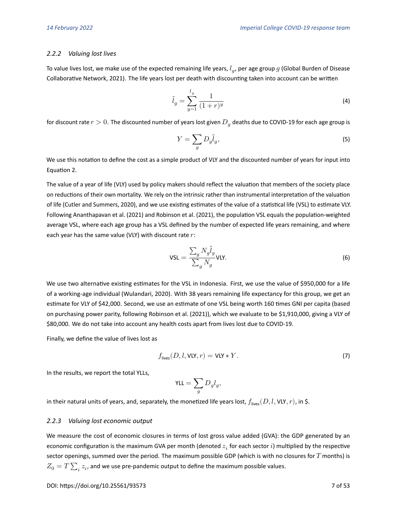#### *2.2.2 Valuing lost lives*

To value lives lost, we make use of the expected remaining life years,  $l_g$ , per age group  $g$  [\(Global Burden of Disease](#page-23-4) [Collaborative Network, 2021\)](#page-23-4). The life years lost per death with discounting taken into account can be written

$$
\hat{l}_g = \sum_{y=1}^{l_g} \frac{1}{(1+r)^y} \tag{4}
$$

for discount rate  $r>0.$  The discounted number of years lost given  $D_g$  deaths due to COVID-19 for each age group is

$$
Y = \sum_{g} D_g \hat{l}_g,\tag{5}
$$

We use this notation to define the cost as a simple product of VLY and the discounted number of years for input into Equation [2.](#page-4-1)

The value of a year of life (VLY) used by policy makers should reflect the valuation that members of the society place on reductions of their own mortality. We rely on the intrinsic rather than instrumental interpretation of the valuation of life [\(Cutler and Summers, 2020\)](#page-22-1), and we use existing estimates of the value of a statistical life (VSL) to estimate VLY. Following [Ananthapavan et al. \(2021\)](#page-22-2) and [Robinson et al. \(2021\)](#page-25-1), the population VSL equals the population-weighted average VSL, where each age group has a VSL defined by the number of expected life years remaining, and where each year has the same value (VLY) with discount rate  $r$ :

$$
\mathsf{VSL} = \frac{\sum_{g} N_g \hat{l}_g}{\sum_{g} N_g} \mathsf{VLY}.\tag{6}
$$

We use two alternative existing estimates for the VSL in Indonesia. First, we use the value of \$950,000 for a life of a working-age individual [\(Wulandari, 2020\)](#page-26-0). With 38 years remaining life expectancy for this group, we get an estimate for VLY of \$42,000. Second, we use an estimate of one VSL being worth 160 times GNI per capita (based on purchasing power parity, following [Robinson et al. \(2021\)](#page-25-1)), which we evaluate to be \$1,910,000, giving a VLY of \$80,000. We do not take into account any health costs apart from lives lost due to COVID-19.

Finally, we define the value of lives lost as

$$
f_{\text{lives}}(D, l, \text{VLY}, r) = \text{VLY} * Y. \tag{7}
$$

In the results, we report the total YLLs,

$$
\text{YLL} = \sum_g D_g l_g,
$$

in their natural units of years, and, separately, the monetized life years lost,  $f_{\text{lives}}(D, l, \text{VLY}, r)$ , in \$.

#### *2.2.3 Valuing lost economic output*

We measure the cost of economic closures in terms of lost gross value added (GVA): the GDP generated by an economic configuration is the maximum GVA per month (denoted  $z_i$  for each sector  $i$ ) multiplied by the respective sector openings, summed over the period. The maximum possible GDP (which is with no closures for  $T$  months) is  $Z_0 = T \sum_i z_i$ , and we use pre-pandemic output to define the maximum possible values.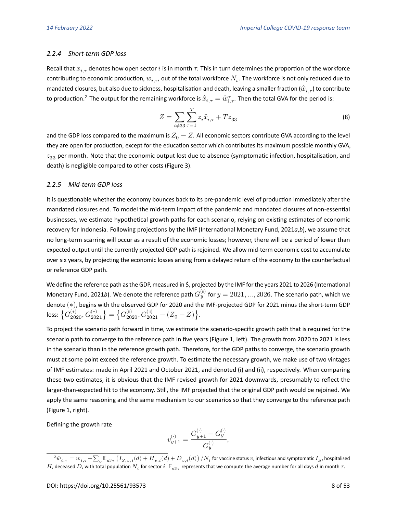#### *2.2.4 Short-term GDP loss*

Recall that  $x_{i,\tau}$  denotes how open sector i is in month  $\tau$ . This in turn determines the proportion of the workforce contributing to economic production,  $w_{i,\tau}$ , out of the total workforce  $N_i.$  The workforce is not only reduced due to mandated closures, but also due to sickness, hospitalisation and death, leaving a smaller fraction ( $\hat{w}_{i,\tau}$ ) to contribute to production.<sup>[2](#page-7-1)</sup> The output for the remaining workforce is  $\hat x_{i,\tau}=\hat w_{i,\tau}^\alpha.$  Then the total GVA for the period is:

$$
Z = \sum_{i \neq 33} \sum_{\tau=1}^{T} z_i \hat{x}_{i,\tau} + T z_{33}
$$
 (8)

and the GDP loss compared to the maximum is  $Z_0 - Z$ . All economic sectors contribute GVA according to the level they are open for production, except for the education sector which contributes its maximum possible monthly GVA,  $z_{33}$  per month. Note that the economic output lost due to absence (symptomatic infection, hospitalisation, and death) is negligible compared to other costs (Figure [3\)](#page-12-0).

#### <span id="page-7-0"></span>*2.2.5 Mid-term GDP loss*

It is questionable whether the economy bounces back to its pre-pandemic level of production immediately after the mandated closures end. To model the mid-term impact of the pandemic and mandated closures of non-essential businesses, we estimate hypothetical growth paths for each scenario, relying on existing estimates of economic recovery for Indonesia. Following projections by the IMF [\(International Monetary Fund, 2021](#page-24-1)*a*,*[b](#page-24-3)*), we assume that no long-term scarring will occur as a result of the economic losses; however, there will be a period of lower than expected output until the currently projected GDP path is rejoined. We allow mid-term economic cost to accumulate over six years, by projecting the economic losses arising from a delayed return of the economy to the counterfactual or reference GDP path.

We define the reference path as the GDP, measured in \$, projected by the IMF for the years 2021 to 2026 [\(International](#page-24-3) [Monetary Fund, 2021](#page-24-3)b). We denote the reference path  $G_y^{\text{(ii)}}$  for  $y=2021,...,2026$ . The scenario path, which we denote (∗), begins with the observed GDP for 2020 and the IMF-projected GDP for 2021 minus the short-term GDP loss:  $\big\{ G^{(*)}_{2020}, G^{(*)}_{2021} \big\} = \big\{ G^{(\rm ii)}_{2020}, G^{(\rm ii)}_{2021} - (Z_0-Z) \big\}.$ 

To project the scenario path forward in time, we estimate the scenario-specific growth path that is required for the scenario path to converge to the reference path in five years (Figure [1,](#page-9-0) left). The growth from 2020 to 2021 is less in the scenario than in the reference growth path. Therefore, for the GDP paths to converge, the scenario growth must at some point exceed the reference growth. To estimate the necessary growth, we make use of two vintages of IMF estimates: made in April 2021 and October 2021, and denoted (i) and (ii), respectively. When comparing these two estimates, it is obvious that the IMF revised growth for 2021 downwards, presumably to reflect the larger-than-expected hit to the economy. Still, the IMF projected that the original GDP path would be rejoined. We apply the same reasoning and the same mechanism to our scenarios so that they converge to the reference path (Figure [1,](#page-9-0) right).

Defining the growth rate

$$
v_{y+1}^{(\cdot)} = \frac{G_{y+1}^{(\cdot)}-G_y^{(\cdot)}}{G_y^{(\cdot)}},
$$

<span id="page-7-1"></span> ${}^2{\hat w}_{i,\tau}=w_{i,\tau}-\sum_v\mathbb{E}_{d\in\tau}\left(I_{S,\,v,\,i}(d)+H_{v,\,i}(d)+D_{v,\,i}(d)\right)/N_i$  for vaccine status  $v$ , infectious and symptomatic  $I_S$ , hospitalised  $H$ , deceased  $D$ , with total population  $N_i$  for sector  $i.$   $\mathbb{E}_{d\in\tau}$  represents that we compute the average number for all days  $d$  in month  $\tau.$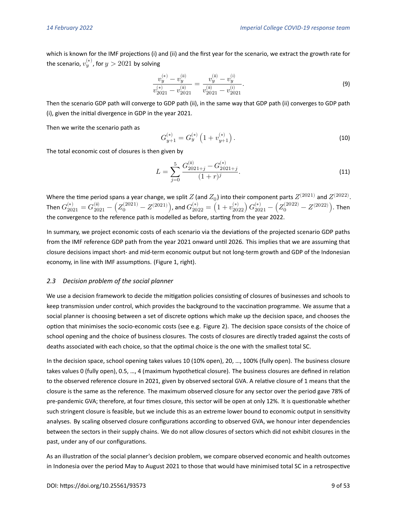which is known for the IMF projections (i) and (ii) and the first year for the scenario, we extract the growth rate for the scenario,  $v_{y}^{(*)}$ , for  $y>2021$  by solving

<span id="page-8-0"></span>
$$
\frac{v_y^{(*)} - v_y^{(\text{ii})}}{v_{2021}^{(*)} - v_{2021}^{(\text{ii})}} = \frac{v_y^{(\text{ii})} - v_y^{(\text{i})}}{v_{2021}^{(\text{ii})} - v_{2021}^{(\text{i})}}.
$$
\n(9)

Then the scenario GDP path will converge to GDP path (ii), in the same way that GDP path (ii) converges to GDP path (i), given the initial divergence in GDP in the year 2021.

Then we write the scenario path as

<span id="page-8-1"></span>
$$
G_{y+1}^{(*)} = G_y^{(*)} \left( 1 + v_{y+1}^{(*)} \right). \tag{10}
$$

The total economic cost of closures is then given by

<span id="page-8-2"></span>
$$
L = \sum_{j=0}^{5} \frac{G_{2021+j}^{(ii)} - G_{2021+j}^{(*)}}{(1+r)^j}.
$$
\n(11)

Where the time period spans a year change, we split  $Z$  (and  $Z_0$ ) into their component parts  $Z^{(2021)}$  and  $Z^{(2022)}$ . Then  $G_{2021}^{(*)}=G_{2021}^{(\rm ii)}-\left( Z_0^{(2021)}-Z^{(2021)}\right)$ , and  $G_{2022}^{(*)}=\left( 1+v_{2022}^{(*)}\right) G_{2021}^{(*)}-\left( Z_0^{(2022)}-Z^{(2022)}\right)$ . Then the convergence to the reference path is modelled as before, starting from the year 2022.

In summary, we project economic costs of each scenario via the deviations of the projected scenario GDP paths from the IMF reference GDP path from the year 2021 onward until 2026. This implies that we are assuming that closure decisions impact short- and mid-term economic output but not long-term growth and GDP of the Indonesian economy, in line with IMF assumptions. (Figure [1,](#page-9-0) right).

#### *2.3 Decision problem of the social planner*

We use a decision framework to decide the mitigation policies consisting of closures of businesses and schools to keep transmission under control, which provides the background to the vaccination programme. We assume that a social planner is choosing between a set of discrete options which make up the decision space, and chooses the option that minimises the socio-economic costs (see e.g. Figure [2\)](#page-12-1). The decision space consists of the choice of school opening and the choice of business closures. The costs of closures are directly traded against the costs of deaths associated with each choice, so that the optimal choice is the one with the smallest total SC.

In the decision space, school opening takes values 10 (10% open), 20, …, 100% (fully open). The business closure takes values 0 (fully open), 0.5, …, 4 (maximum hypothetical closure). The business closures are defined in relation to the observed reference closure in 2021, given by observed sectoral GVA. A relative closure of 1 means that the closure is the same as the reference. The maximum observed closure for any sector over the period gave 78% of pre-pandemic GVA; therefore, at four times closure, this sector will be open at only 12%. It is questionable whether such stringent closure is feasible, but we include this as an extreme lower bound to economic output in sensitivity analyses. By scaling observed closure configurations according to observed GVA, we honour inter dependencies between the sectors in their supply chains. We do not allow closures of sectors which did not exhibit closures in the past, under any of our configurations.

As an illustration of the social planner's decision problem, we compare observed economic and health outcomes in Indonesia over the period May to August 2021 to those that would have minimised total SC in a retrospective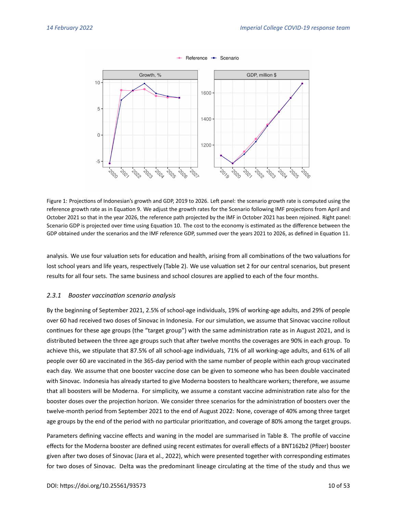<span id="page-9-0"></span>

Figure 1: Projections of Indonesian's growth and GDP, 2019 to 2026. Left panel: the scenario growth rate is computed using the reference growth rate as in Equation [9.](#page-8-0) We adjust the growth rates for the Scenario following IMF projections from April and October 2021 so that in the year 2026, the reference path projected by the IMF in October 2021 has been rejoined. Right panel: Scenario GDP is projected over time using Equation [10.](#page-8-1) The cost to the economy is estimated as the difference between the GDP obtained under the scenarios and the IMF reference GDP, summed over the years 2021 to 2026, as defined in Equation [11.](#page-8-2)

analysis. We use four valuation sets for education and health, arising from all combinations of the two valuations for lost school years and life years, respectively (Table [2\)](#page-11-0). We use valuation set 2 for our central scenarios, but present results for all four sets. The same business and school closures are applied to each of the four months.

#### <span id="page-9-1"></span>*2.3.1 Booster vaccination scenario analysis*

By the beginning of September 2021, 2.5% of school-age individuals, 19% of working-age adults, and 29% of people over 60 had received two doses of Sinovac in Indonesia. For our simulation, we assume that Sinovac vaccine rollout continues for these age groups (the "target group") with the same administration rate as in August 2021, and is distributed between the three age groups such that after twelve months the coverages are 90% in each group. To achieve this, we stipulate that 87.5% of all school-age individuals, 71% of all working-age adults, and 61% of all people over 60 are vaccinated in the 365-day period with the same number of people within each group vaccinated each day. We assume that one booster vaccine dose can be given to someone who has been double vaccinated with Sinovac. Indonesia has already started to give Moderna boosters to healthcare workers; therefore, we assume that all boosters will be Moderna. For simplicity, we assume a constant vaccine administration rate also for the booster doses over the projection horizon. We consider three scenarios for the administration of boosters over the twelve-month period from September 2021 to the end of August 2022: None, coverage of 40% among three target age groups by the end of the period with no particular prioritization, and coverage of 80% among the target groups.

Parameters defining vaccine effects and waning in the model are summarised in Table [8.](#page-34-0) The profile of vaccine effects for the Moderna booster are defined using recent estimates for overall effects of a BNT162b2 (Pfizer) booster given after two doses of Sinovac [\(Jara et al., 2022\)](#page-24-5), which were presented together with corresponding estimates for two doses of Sinovac. Delta was the predominant lineage circulating at the time of the study and thus we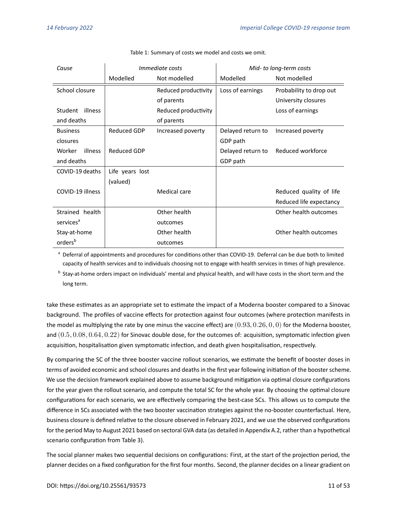<span id="page-10-0"></span>

| Cause                 |                 | <i>Immediate costs</i> |                   | Mid- to long-term costs |
|-----------------------|-----------------|------------------------|-------------------|-------------------------|
|                       | Modelled        | Not modelled           | Modelled          | Not modelled            |
| School closure        |                 | Reduced productivity   | Loss of earnings  | Probability to drop out |
|                       |                 | of parents             |                   | University closures     |
| Student<br>illness    |                 | Reduced productivity   |                   | Loss of earnings        |
| and deaths            |                 | of parents             |                   |                         |
| <b>Business</b>       | Reduced GDP     | Increased poverty      | Delayed return to | Increased poverty       |
| closures              |                 |                        | GDP path          |                         |
| Worker<br>illness     | Reduced GDP     |                        | Delayed return to | Reduced workforce       |
| and deaths            |                 |                        | GDP path          |                         |
| COVID-19 deaths       | Life years lost |                        |                   |                         |
|                       | (valued)        |                        |                   |                         |
| COVID-19 illness      |                 | Medical care           |                   | Reduced quality of life |
|                       |                 |                        |                   | Reduced life expectancy |
| Strained health       |                 | Other health           |                   | Other health outcomes   |
| services <sup>a</sup> |                 | outcomes               |                   |                         |
| Stay-at-home          |                 | Other health           |                   | Other health outcomes   |
| orders <sup>b</sup>   |                 | outcomes               |                   |                         |

Table 1: Summary of costs we model and costs we omit.

<sup>a</sup> Deferral of appointments and procedures for conditions other than COVID-19. Deferral can be due both to limited capacity of health services and to individuals choosing not to engage with health services in times of high prevalence.

<sup>b</sup> Stay-at-home orders impact on individuals' mental and physical health, and will have costs in the short term and the long term.

take these estimates as an appropriate set to estimate the impact of a Moderna booster compared to a Sinovac background. The profiles of vaccine effects for protection against four outcomes (where protection manifests in the model as multiplying the rate by one minus the vaccine effect) are  $(0.93, 0.26, 0, 0)$  for the Moderna booster, and  $(0.5, 0.08, 0.64, 0.22)$  for Sinovac double dose, for the outcomes of: acquisition, symptomatic infection given acquisition, hospitalisation given symptomatic infection, and death given hospitalisation, respectively.

By comparing the SC of the three booster vaccine rollout scenarios, we estimate the benefit of booster doses in terms of avoided economic and school closures and deaths in the first year following initiation of the booster scheme. We use the decision framework explained above to assume background mitigation via optimal closure configurations for the year given the rollout scenario, and compute the total SC for the whole year. By choosing the optimal closure configurations for each scenario, we are effectively comparing the best-case SCs. This allows us to compute the difference in SCs associated with the two booster vaccination strategies against the no-booster counterfactual. Here, business closure is defined relative to the closure observed in February 2021, and we use the observed configurations for the period May to August 2021 based on sectoral GVA data (as detailed in Appendix [A.2,](#page-27-1) rather than a hypothetical scenario configuration from Table [3\)](#page-13-0).

The social planner makes two sequential decisions on configurations: First, at the start of the projection period, the planner decides on a fixed configuration for the first four months. Second, the planner decides on a linear gradient on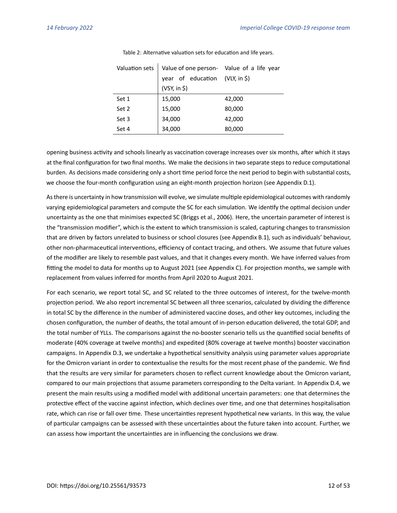<span id="page-11-0"></span>

| Valuation sets | Value of one person- Value of a life year |        |
|----------------|-------------------------------------------|--------|
|                | year of education (VLY, in \$)            |        |
|                | (VSY, in \$)                              |        |
| Set 1          | 15,000                                    | 42,000 |
| Set 2          | 15,000                                    | 80,000 |
| Set 3          | 34,000                                    | 42,000 |
| Set 4          | 34,000                                    | 80,000 |

Table 2: Alternative valuation sets for education and life years.

opening business activity and schools linearly as vaccination coverage increases over six months, after which it stays at the final configuration for two final months. We make the decisions in two separate steps to reduce computational burden. As decisions made considering only a short time period force the next period to begin with substantial costs, we choose the four-month configuration using an eight-month projection horizon (see Appendix [D.1\)](#page-45-0).

As there is uncertainty in how transmission will evolve, we simulate multiple epidemiological outcomes with randomly varying epidemiological parameters and compute the SC for each simulation. We identify the optimal decision under uncertainty as the one that minimises expected SC [\(Briggs et al., 2006\)](#page-22-3). Here, the uncertain parameter of interest is the "transmission modifier", which is the extent to which transmission is scaled, capturing changes to transmission that are driven by factors unrelated to business or school closures (see Appendix [B.1\)](#page-33-1), such as individuals' behaviour, other non-pharmaceutical interventions, efficiency of contact tracing, and others. We assume that future values of the modifier are likely to resemble past values, and that it changes every month. We have inferred values from fitting the model to data for months up to August 2021 (see Appendix [C\)](#page-42-0). For projection months, we sample with replacement from values inferred for months from April 2020 to August 2021.

For each scenario, we report total SC, and SC related to the three outcomes of interest, for the twelve-month projection period. We also report incremental SC between all three scenarios, calculated by dividing the difference in total SC by the difference in the number of administered vaccine doses, and other key outcomes, including the chosen configuration, the number of deaths, the total amount of in-person education delivered, the total GDP, and the total number of YLLs. The comparisons against the no-booster scenario tells us the quantified social benefits of moderate (40% coverage at twelve months) and expedited (80% coverage at twelve months) booster vaccination campaigns. In Appendix [D.3,](#page-50-0) we undertake a hypothetical sensitivity analysis using parameter values appropriate for the Omicron variant in order to contextualise the results for the most recent phase of the pandemic. We find that the results are very similar for parameters chosen to reflect current knowledge about the Omicron variant, compared to our main projections that assume parameters corresponding to the Delta variant. In Appendix [D.4,](#page-50-1) we present the main results using a modified model with additional uncertain parameters: one that determines the protective effect of the vaccine against infection, which declines over time, and one that determines hospitalisation rate, which can rise or fall over time. These uncertainties represent hypothetical new variants. In this way, the value of particular campaigns can be assessed with these uncertainties about the future taken into account. Further, we can assess how important the uncertainties are in influencing the conclusions we draw.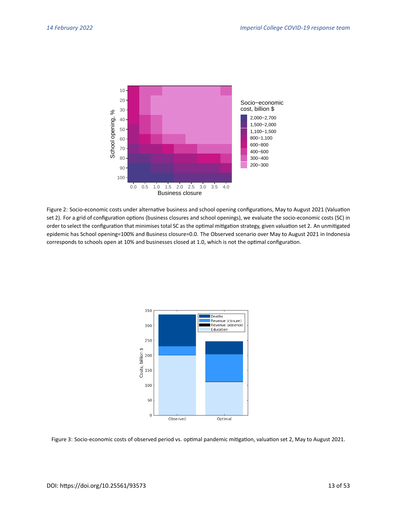<span id="page-12-1"></span>

Figure 2: Socio-economic costs under alternative business and school opening configurations, May to August 2021 (Valuation set 2). For a grid of configuration options (business closures and school openings), we evaluate the socio-economic costs (SC) in order to select the configuration that minimises total SC as the optimal mitigation strategy, given valuation set 2. An unmitigated epidemic has School opening=100% and Business closure=0.0. The Observed scenario over May to August 2021 in Indonesia corresponds to schools open at 10% and businesses closed at 1.0, which is not the optimal configuration.

<span id="page-12-0"></span>

Figure 3: Socio-economic costs of observed period vs. optimal pandemic mitigation, valuation set 2, May to August 2021.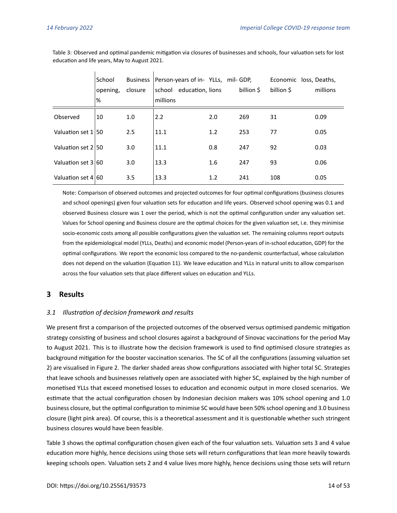$\overline{\phantom{a}}$ 

|                    | School   | Business | Person-years of in-YLLs, mil-GDP, |     |            | Economic loss, Deaths, |          |
|--------------------|----------|----------|-----------------------------------|-----|------------|------------------------|----------|
|                    | opening, | closure  | school education, lions           |     | billion \$ | billion \$             | millions |
|                    | %        |          | millions                          |     |            |                        |          |
| Observed           | 10       | 1.0      | 2.2                               | 2.0 | 269        | 31                     | 0.09     |
| Valuation set 1 50 |          | 2.5      | 11.1                              | 1.2 | 253        | 77                     | 0.05     |
| Valuation set 2 50 |          | 3.0      | 11.1                              | 0.8 | 247        | 92                     | 0.03     |
| Valuation set 3 60 |          | 3.0      | 13.3                              | 1.6 | 247        | 93                     | 0.06     |
| Valuation set 4 60 |          | 3.5      | 13.3                              | 1.2 | 241        | 108                    | 0.05     |

<span id="page-13-0"></span>Table 3: Observed and optimal pandemic mitigation via closures of businesses and schools, four valuation sets for lost education and life years, May to August 2021.

 $\overline{1}$ 

Note: Comparison of observed outcomes and projected outcomes for four optimal configurations (business closures and school openings) given four valuation sets for education and life years. Observed school opening was 0.1 and observed Business closure was 1 over the period, which is not the optimal configuration under any valuation set. Values for School opening and Business closure are the optimal choices for the given valuation set, i.e. they minimise socio-economic costs among all possible configurations given the valuation set. The remaining columns report outputs from the epidemiological model (YLLs, Deaths) and economic model (Person-years of in-school education, GDP) for the optimal configurations. We report the economic loss compared to the no-pandemic counterfactual, whose calculation does not depend on the valuation (Equation [11\)](#page-8-2). We leave education and YLLs in natural units to allow comparison across the four valuation sets that place different values on education and YLLs.

# **3 Results**

#### *3.1 Illustration of decision framework and results*

We present first a comparison of the projected outcomes of the observed versus optimised pandemic mitigation strategy consisting of business and school closures against a background of Sinovac vaccinations for the period May to August 2021. This is to illustrate how the decision framework is used to find optimised closure strategies as background mitigation for the booster vaccination scenarios. The SC of all the configurations (assuming valuation set 2) are visualised in Figure [2.](#page-12-1) The darker shaded areas show configurations associated with higher total SC. Strategies that leave schools and businesses relatively open are associated with higher SC, explained by the high number of monetised YLLs that exceed monetised losses to education and economic output in more closed scenarios. We estimate that the actual configuration chosen by Indonesian decision makers was 10% school opening and 1.0 business closure, but the optimal configuration to minimise SC would have been 50% school opening and 3.0 business closure (light pink area). Of course, this is a theoretical assessment and it is questionable whether such stringent business closures would have been feasible.

Table [3](#page-13-0) shows the optimal configuration chosen given each of the four valuation sets. Valuation sets 3 and 4 value education more highly, hence decisions using those sets will return configurations that lean more heavily towards keeping schools open. Valuation sets 2 and 4 value lives more highly, hence decisions using those sets will return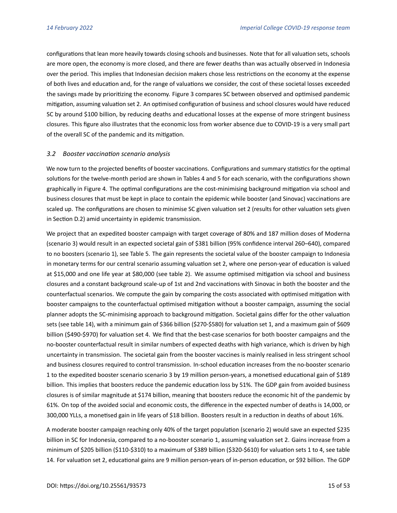configurations that lean more heavily towards closing schools and businesses. Note that for all valuation sets, schools are more open, the economy is more closed, and there are fewer deaths than was actually observed in Indonesia over the period. This implies that Indonesian decision makers chose less restrictions on the economy at the expense of both lives and education and, for the range of valuations we consider, the cost of these societal losses exceeded the savings made by prioritizing the economy. Figure [3](#page-12-0) compares SC between observed and optimised pandemic mitigation, assuming valuation set 2. An optimised configuration of business and school closures would have reduced SC by around \$100 billion, by reducing deaths and educational losses at the expense of more stringent business closures. This figure also illustrates that the economic loss from worker absence due to COVID-19 is a very small part of the overall SC of the pandemic and its mitigation.

#### *3.2 Booster vaccination scenario analysis*

We now turn to the projected benefits of booster vaccinations. Configurations and summary statistics for the optimal solutions for the twelve-month period are shown in Tables [4](#page-16-0) and [5](#page-17-0) for each scenario, with the configurations shown graphically in Figure [4.](#page-15-0) The optimal configurations are the cost-minimising background mitigation via school and business closures that must be kept in place to contain the epidemic while booster (and Sinovac) vaccinations are scaled up. The configurations are chosen to minimise SC given valuation set 2 (results for other valuation sets given in Section [D.2\)](#page-46-0) amid uncertainty in epidemic transmission.

We project that an expedited booster campaign with target coverage of 80% and 187 million doses of Moderna (scenario 3) would result in an expected societal gain of \$381 billion (95% confidence interval 260–640), compared to no boosters (scenario 1), see Table [5.](#page-17-0) The gain represents the societal value of the booster campaign to Indonesia in monetary terms for our central scenario assuming valuation set 2, where one person-year of education is valued at \$15,000 and one life year at \$80,000 (see table 2). We assume optimised mitigation via school and business closures and a constant background scale-up of 1st and 2nd vaccinations with Sinovac in both the booster and the counterfactual scenarios. We compute the gain by comparing the costs associated with optimised mitigation with booster campaigns to the counterfactual optimised mitigation without a booster campaign, assuming the social planner adopts the SC-minimising approach to background mitigation. Societal gains differ for the other valuation sets (see table 14), with a minimum gain of \$366 billion (\$270-\$580) for valuation set 1, and a maximum gain of \$609 billion (\$490-\$970) for valuation set 4. We find that the best-case scenarios for both booster campaigns and the no-booster counterfactual result in similar numbers of expected deaths with high variance, which is driven by high uncertainty in transmission. The societal gain from the booster vaccines is mainly realised in less stringent school and business closures required to control transmission. In-school education increases from the no-booster scenario 1 to the expedited booster scenario scenario 3 by 19 million person-years, a monetised educational gain of \$189 billion. This implies that boosters reduce the pandemic education loss by 51%. The GDP gain from avoided business closures is of similar magnitude at \$174 billion, meaning that boosters reduce the economic hit of the pandemic by 61%. On top of the avoided social and economic costs, the difference in the expected number of deaths is 14,000, or 300,000 YLLs, a monetised gain in life years of \$18 billion. Boosters result in a reduction in deaths of about 16%.

A moderate booster campaign reaching only 40% of the target population (scenario 2) would save an expected \$235 billion in SC for Indonesia, compared to a no-booster scenario 1, assuming valuation set 2. Gains increase from a minimum of \$205 billion (\$110-\$310) to a maximum of \$389 billion (\$320-\$610) for valuation sets 1 to 4, see table 14. For valuation set 2, educational gains are 9 million person-years of in-person education, or \$92 billion. The GDP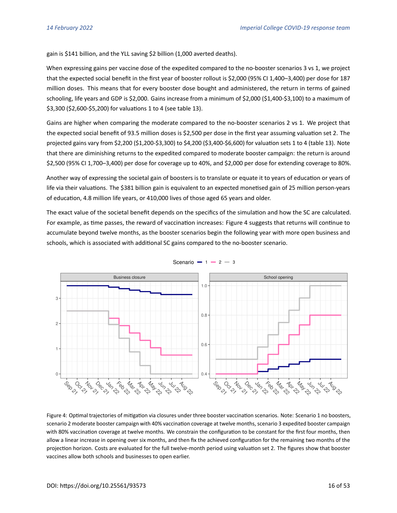gain is \$141 billion, and the YLL saving \$2 billion (1,000 averted deaths).

When expressing gains per vaccine dose of the expedited compared to the no-booster scenarios 3 vs 1, we project that the expected social benefit in the first year of booster rollout is \$2,000 (95% CI 1,400–3,400) per dose for 187 million doses. This means that for every booster dose bought and administered, the return in terms of gained schooling, life years and GDP is \$2,000. Gains increase from a minimum of \$2,000 (\$1,400-\$3,100) to a maximum of \$3,300 (\$2,600-\$5,200) for valuations 1 to 4 (see table 13).

Gains are higher when comparing the moderate compared to the no-booster scenarios 2 vs 1. We project that the expected social benefit of 93.5 million doses is \$2,500 per dose in the first year assuming valuation set 2. The projected gains vary from \$2,200 (\$1,200-\$3,300) to \$4,200 (\$3,400-\$6,600) for valuation sets 1 to 4 (table 13). Note that there are diminishing returns to the expedited compared to moderate booster campaign: the return is around \$2,500 (95% CI 1,700–3,400) per dose for coverage up to 40%, and \$2,000 per dose for extending coverage to 80%.

Another way of expressing the societal gain of boosters is to translate or equate it to years of education or years of life via their valuations. The \$381 billion gain is equivalent to an expected monetised gain of 25 million person-years of education, 4.8 million life years, or 410,000 lives of those aged 65 years and older.

The exact value of the societal benefit depends on the specifics of the simulation and how the SC are calculated. For example, as time passes, the reward of vaccination increases: Figure [4](#page-15-0) suggests that returns will continue to accumulate beyond twelve months, as the booster scenarios begin the following year with more open business and schools, which is associated with additional SC gains compared to the no-booster scenario.

<span id="page-15-0"></span>

Scenario -  $1 - 2 - 3$ 

Figure 4: Optimal trajectories of mitigation via closures under three booster vaccination scenarios. Note: Scenario 1 no boosters, scenario 2 moderate booster campaign with 40% vaccination coverage at twelve months, scenario 3 expedited booster campaign with 80% vaccination coverage at twelve months. We constrain the configuration to be constant for the first four months, then allow a linear increase in opening over six months, and then fix the achieved configuration for the remaining two months of the projection horizon. Costs are evaluated for the full twelve-month period using valuation set 2. The figures show that booster vaccines allow both schools and businesses to open earlier.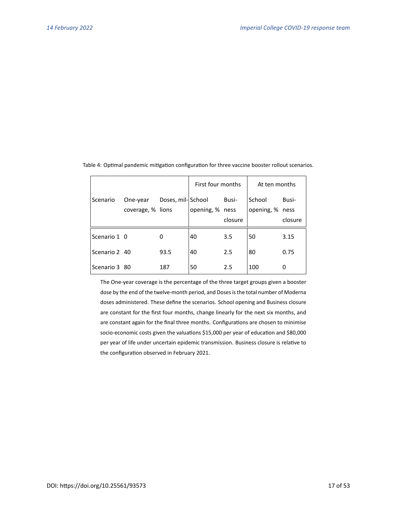|               |                   |                   | First four months |         | At ten months   |         |
|---------------|-------------------|-------------------|-------------------|---------|-----------------|---------|
| Scenario      | One-year          | Doses, mil-School |                   | Busi-   | School          | Busi-   |
|               | coverage, % lions |                   | opening, % ness   |         | opening, % ness |         |
|               |                   |                   |                   | closure |                 | closure |
| Scenario 1 0  |                   | 0                 | 40                | 3.5     | 50              | 3.15    |
| Scenario 2 40 |                   | 93.5              | 40                | 2.5     | 80              | 0.75    |
| Scenario 3 80 |                   | 187               | 50                | 2.5     | 100             | 0       |

<span id="page-16-0"></span>Table 4: Optimal pandemic mitigation configuration for three vaccine booster rollout scenarios.

The One-year coverage is the percentage of the three target groups given a booster dose by the end of the twelve-month period, and Doses is the total number of Moderna doses administered. These define the scenarios. School opening and Business closure are constant for the first four months, change linearly for the next six months, and are constant again for the final three months. Configurations are chosen to minimise socio-economic costs given the valuations \$15,000 per year of education and \$80,000 per year of life under uncertain epidemic transmission. Business closure is relative to the configuration observed in February 2021.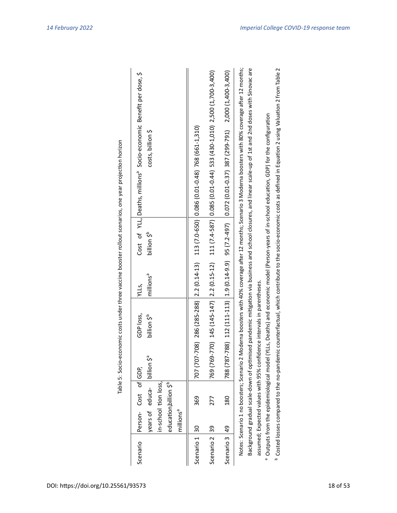|               |                       |                                                                                                      |             |                                                                        |                                |                         | Table 5: Socio-economic costs under three vaccine booster rollout scenarios, one year projection horizon                                                                                                                                                                                                                                                                               |
|---------------|-----------------------|------------------------------------------------------------------------------------------------------|-------------|------------------------------------------------------------------------|--------------------------------|-------------------------|----------------------------------------------------------------------------------------------------------------------------------------------------------------------------------------------------------------------------------------------------------------------------------------------------------------------------------------------------------------------------------------|
| Scenario      | millions <sup>a</sup> | Person- Cost of GDP,<br>in-school tion loss,<br>education billion \$ <sup>b</sup><br>years of educa- | se uoillial | GDP loss,<br>billion \$ <sup>10</sup>                                  | millions <sup>a</sup><br>YLLS, | billion \$ <sup>b</sup> | Cost of YLL, Deaths, millions <sup>ª</sup> Socio-economic Benefit per dose, \$<br>costs, billion \$                                                                                                                                                                                                                                                                                    |
| Scenario 1 30 |                       | 369                                                                                                  |             | 707 (707-708) 286 (285-288) 2.2 (0.14-13)                              |                                |                         | 113 (7.0-650) 0.086 (0.01-0.48) 768 (661-1,310)                                                                                                                                                                                                                                                                                                                                        |
| Scenario 2 39 |                       | 277                                                                                                  |             |                                                                        |                                |                         | 769 (769-770) 145 (145-147) 2.2 (0.15-12) 111 (7.4-587) 0.085 (0.01-0.44) 533 (430-1.010) 2.500 (1,700-3.400)                                                                                                                                                                                                                                                                          |
| Scenario 3 49 |                       | 180                                                                                                  |             |                                                                        |                                |                         | 788 (787-788) 112 (111-113) 113 (1.4-9.9) 95 (7.2-49.7) 36 (0.1-0.37) 387 (295-791) 2,000 (1,400-3,400)                                                                                                                                                                                                                                                                                |
|               |                       | <sup>a</sup> Outputs from the epidemiological model<br>Notes: Scenario 1 no boosters; Scenario 2     |             | assumed; Expected values with 95% confidence intervals in parentheses. |                                |                         | Moderna boosters with 40% coverage after 12 months; Scenario 3 Moderna boosters with 80% coverage after 12 months;<br>Background gradual scale-down of optimised pandemic mitigation via business and school closures, and linear scale-up of 1st and 2nd doses with Sinovac are<br>(YLLs, Deaths) and economic model (Person-years of in-school education, GDP) for the configuration |
|               |                       |                                                                                                      |             |                                                                        |                                |                         |                                                                                                                                                                                                                                                                                                                                                                                        |

<span id="page-17-0"></span>Table 5: Socio-economic costs under three vaccine booster rollout scenarios, one vear projection horizon

<sup>b</sup> Costed losses compared to the no-pandemic counterfactual, which contribute to the socio-economic costs as defined in Equation 2 using Valuation 2 from Table 2 Costed losses compared to the no-pandemic counterfactual, which contribute to the socio-economic costs as defined in Equation 2 using Valuation 2 from Table [2](#page-11-0)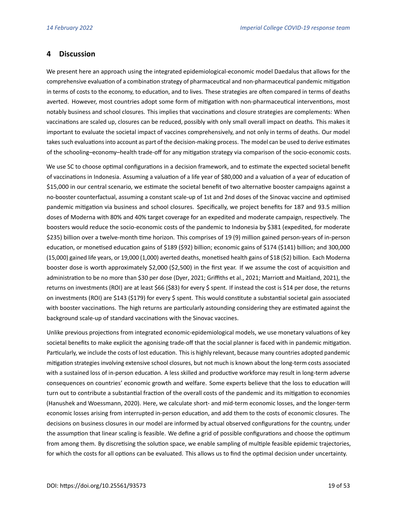# **4 Discussion**

We present here an approach using the integrated epidemiological-economic model Daedalus that allows for the comprehensive evaluation of a combination strategy of pharmaceutical and non-pharmaceutical pandemic mitigation in terms of costs to the economy, to education, and to lives. These strategies are often compared in terms of deaths averted. However, most countries adopt some form of mitigation with non-pharmaceutical interventions, most notably business and school closures. This implies that vaccinations and closure strategies are complements: When vaccinations are scaled up, closures can be reduced, possibly with only small overall impact on deaths. This makes it important to evaluate the societal impact of vaccines comprehensively, and not only in terms of deaths. Our model takes such evaluations into account as part of the decision-making process. The model can be used to derive estimates of the schooling–economy–health trade-off for any mitigation strategy via comparison of the socio-economic costs.

We use SC to choose optimal configurations in a decision framework, and to estimate the expected societal benefit of vaccinations in Indonesia. Assuming a valuation of a life year of \$80,000 and a valuation of a year of education of \$15,000 in our central scenario, we estimate the societal benefit of two alternative booster campaigns against a no-booster counterfactual, assuming a constant scale-up of 1st and 2nd doses of the Sinovac vaccine and optimised pandemic mitigation via business and school closures. Specifically, we project benefits for 187 and 93.5 million doses of Moderna with 80% and 40% target coverage for an expedited and moderate campaign, respectively. The boosters would reduce the socio-economic costs of the pandemic to Indonesia by \$381 (expedited, for moderate \$235) billion over a twelve-month time horizon. This comprises of 19 (9) million gained person-years of in-person education, or monetised education gains of \$189 (\$92) billion; economic gains of \$174 (\$141) billion; and 300,000 (15,000) gained life years, or 19,000 (1,000) averted deaths, monetised health gains of \$18 (\$2) billion. Each Moderna booster dose is worth approximately \$2,000 (\$2,500) in the first year. If we assume the cost of acquisition and administration to be no more than \$30 per dose [\(Dyer, 2021;](#page-22-4) [Griffiths et al., 2021;](#page-23-5) [Marriott and Maitland, 2021\)](#page-24-6), the returns on investments (ROI) are at least \$66 (\$83) for every \$ spent. If instead the cost is \$14 per dose, the returns on investments (ROI) are \$143 (\$179) for every \$ spent. This would constitute a substantial societal gain associated with booster vaccinations. The high returns are particularly astounding considering they are estimated against the background scale-up of standard vaccinations with the Sinovac vaccines.

Unlike previous projections from integrated economic-epidemiological models, we use monetary valuations of key societal benefits to make explicit the agonising trade-off that the social planner is faced with in pandemic mitigation. Particularly, we include the costs of lost education. This is highly relevant, because many countries adopted pandemic mitigation strategies involving extensive school closures, but not much is known about the long-term costs associated with a sustained loss of in-person education. A less skilled and productive workforce may result in long-term adverse consequences on countries' economic growth and welfare. Some experts believe that the loss to education will turn out to contribute a substantial fraction of the overall costs of the pandemic and its mitigation to economies [\(Hanushek and Woessmann, 2020\)](#page-23-3). Here, we calculate short- and mid-term economic losses, and the longer-term economic losses arising from interrupted in-person education, and add them to the costs of economic closures. The decisions on business closures in our model are informed by actual observed configurations for the country, under the assumption that linear scaling is feasible. We define a grid of possible configurations and choose the optimum from among them. By discretising the solution space, we enable sampling of multiple feasible epidemic trajectories, for which the costs for all options can be evaluated. This allows us to find the optimal decision under uncertainty.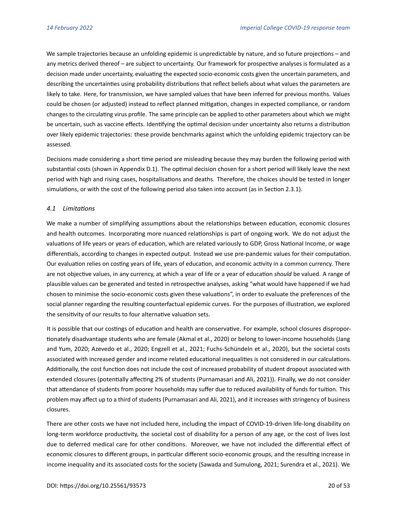We sample trajectories because an unfolding epidemic is unpredictable by nature, and so future projections – and any metrics derived thereof – are subject to uncertainty. Our framework for prospective analyses is formulated as a decision made under uncertainty, evaluating the expected socio-economic costs given the uncertain parameters, and describing the uncertainties using probability distributions that reflect beliefs about what values the parameters are likely to take. Here, for transmission, we have sampled values that have been inferred for previous months. Values could be chosen (or adjusted) instead to reflect planned mitigation, changes in expected compliance, or random changes to the circulating virus profile. The same principle can be applied to other parameters about which we might be uncertain, such as vaccine effects. Identifying the optimal decision under uncertainty also returns a distribution over likely epidemic trajectories: these provide benchmarks against which the unfolding epidemic trajectory can be assessed.

Decisions made considering a short time period are misleading because they may burden the following period with substantial costs (shown in Appendix [D.1\)](#page-45-0). The optimal decision chosen for a short period will likely leave the next period with high and rising cases, hospitalisations and deaths. Therefore, the choices should be tested in longer simulations, or with the cost of the following period also taken into account (as in Section [2.3.1\)](#page-9-1).

#### *4.1 Limitations*

We make a number of simplifying assumptions about the relationships between education, economic closures and health outcomes. Incorporating more nuanced relationships is part of ongoing work. We do not adjust the valuations of life years or years of education, which are related variously to GDP, Gross National Income, or wage differentials, according to changes in expected output. Instead we use pre-pandemic values for their computation. Our evaluation relies on costing years of life, years of education, and economic activity in a common currency. There are not objective values, in any currency, at which a year of life or a year of education *should* be valued. A range of plausible values can be generated and tested in retrospective analyses, asking "what would have happened if we had chosen to minimise the socio-economic costs given these valuations", in order to evaluate the preferences of the social planner regarding the resulting counterfactual epidemic curves. For the purposes of illustration, we explored the sensitivity of our results to four alternative valuation sets.

It is possible that our costings of education and health are conservative. For example, school closures disproportionately disadvantage students who are female [\(Akmal et al., 2020\)](#page-22-5) or belong to lower-income households [\(Jang](#page-24-7) [and Yum, 2020;](#page-24-7) [Azevedo et al., 2020;](#page-22-6) [Engzell et al., 2021;](#page-23-6) [Fuchs-Schündeln et al., 2020\)](#page-23-7), but the societal costs associated with increased gender and income related educational inequalities is not considered in our calculations. Additionally, the cost function does not include the cost of increased probability of student dropout associated with extended closures (potentially affecting 2% of students [\(Purnamasari and Ali, 2021\)](#page-25-5)). Finally, we do not consider that attendance of students from poorer households may suffer due to reduced availability of funds for tuition. This problem may affect up to a third of students [\(Purnamasari and Ali, 2021\)](#page-25-5), and it increases with stringency of business closures.

There are other costs we have not included here, including the impact of COVID-19-driven life-long disability on long-term workforce productivity, the societal cost of disability for a person of any age, or the cost of lives lost due to deferred medical care for other conditions. Moreover, we have not included the differential effect of economic closures to different groups, in particular different socio-economic groups, and the resulting increase in income inequality and its associated costs for the society [\(Sawada and Sumulong, 2021;](#page-25-2) [Surendra et al., 2021\)](#page-25-6). We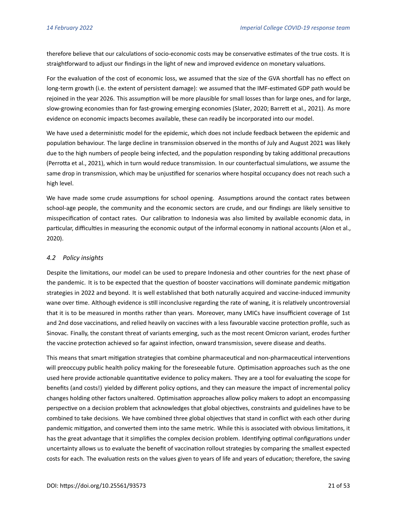therefore believe that our calculations of socio-economic costs may be conservative estimates of the true costs. It is straightforward to adjust our findings in the light of new and improved evidence on monetary valuations.

For the evaluation of the cost of economic loss, we assumed that the size of the GVA shortfall has no effect on long-term growth (i.e. the extent of persistent damage): we assumed that the IMF-estimated GDP path would be rejoined in the year 2026. This assumption will be more plausible for small losses than for large ones, and for large, slow-growing economies than for fast-growing emerging economies [\(Slater, 2020;](#page-25-7) [Barrett et al., 2021\)](#page-22-7). As more evidence on economic impacts becomes available, these can readily be incorporated into our model.

We have used a deterministic model for the epidemic, which does not include feedback between the epidemic and population behaviour. The large decline in transmission observed in the months of July and August 2021 was likely due to the high numbers of people being infected, and the population responding by taking additional precautions [\(Perrotta et al., 2021\)](#page-25-8), which in turn would reduce transmission. In our counterfactual simulations, we assume the same drop in transmission, which may be unjustified for scenarios where hospital occupancy does not reach such a high level.

We have made some crude assumptions for school opening. Assumptions around the contact rates between school-age people, the community and the economic sectors are crude, and our findings are likely sensitive to misspecification of contact rates. Our calibration to Indonesia was also limited by available economic data, in particular, difficulties in measuring the economic output of the informal economy in national accounts [\(Alon et al.,](#page-22-8) [2020\)](#page-22-8).

#### *4.2 Policy insights*

Despite the limitations, our model can be used to prepare Indonesia and other countries for the next phase of the pandemic. It is to be expected that the question of booster vaccinations will dominate pandemic mitigation strategies in 2022 and beyond. It is well established that both naturally acquired and vaccine-induced immunity wane over time. Although evidence is still inconclusive regarding the rate of waning, it is relatively uncontroversial that it is to be measured in months rather than years. Moreover, many LMICs have insufficient coverage of 1st and 2nd dose vaccinations, and relied heavily on vaccines with a less favourable vaccine protection profile, such as Sinovac. Finally, the constant threat of variants emerging, such as the most recent Omicron variant, erodes further the vaccine protection achieved so far against infection, onward transmission, severe disease and deaths.

This means that smart mitigation strategies that combine pharmaceutical and non-pharmaceutical interventions will preoccupy public health policy making for the foreseeable future. Optimisation approaches such as the one used here provide actionable quantitative evidence to policy makers. They are a tool for evaluating the scope for benefits (and costs!) yielded by different policy options, and they can measure the impact of incremental policy changes holding other factors unaltered. Optimisation approaches allow policy makers to adopt an encompassing perspective on a decision problem that acknowledges that global objectives, constraints and guidelines have to be combined to take decisions. We have combined three global objectives that stand in conflict with each other during pandemic mitigation, and converted them into the same metric. While this is associated with obvious limitations, it has the great advantage that it simplifies the complex decision problem. Identifying optimal configurations under uncertainty allows us to evaluate the benefit of vaccination rollout strategies by comparing the smallest expected costs for each. The evaluation rests on the values given to years of life and years of education; therefore, the saving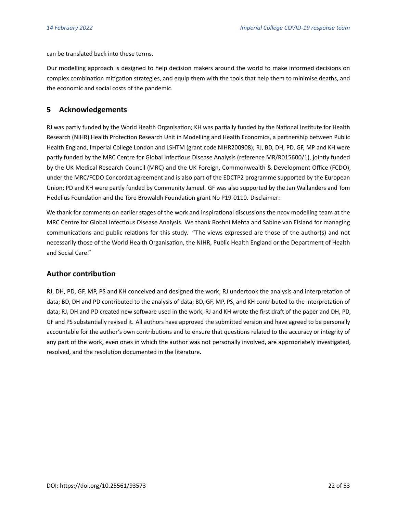can be translated back into these terms.

Our modelling approach is designed to help decision makers around the world to make informed decisions on complex combination mitigation strategies, and equip them with the tools that help them to minimise deaths, and the economic and social costs of the pandemic.

# **5 Acknowledgements**

RJ was partly funded by the World Health Organisation; KH was partially funded by the National Institute for Health Research (NIHR) Health Protection Research Unit in Modelling and Health Economics, a partnership between Public Health England, Imperial College London and LSHTM (grant code NIHR200908); RJ, BD, DH, PD, GF, MP and KH were partly funded by the MRC Centre for Global Infectious Disease Analysis (reference MR/R015600/1), jointly funded by the UK Medical Research Council (MRC) and the UK Foreign, Commonwealth & Development Office (FCDO), under the MRC/FCDO Concordat agreement and is also part of the EDCTP2 programme supported by the European Union; PD and KH were partly funded by Community Jameel. GF was also supported by the Jan Wallanders and Tom Hedelius Foundation and the Tore Browaldh Foundation grant No P19-0110. Disclaimer:

We thank for comments on earlier stages of the work and inspirational discussions the ncov modelling team at the MRC Centre for Global Infectious Disease Analysis. We thank Roshni Mehta and Sabine van Elsland for managing communications and public relations for this study. "The views expressed are those of the author(s) and not necessarily those of the World Health Organisation, the NIHR, Public Health England or the Department of Health and Social Care."

# **Author contribution**

RJ, DH, PD, GF, MP, PS and KH conceived and designed the work; RJ undertook the analysis and interpretation of data; BD, DH and PD contributed to the analysis of data; BD, GF, MP, PS, and KH contributed to the interpretation of data; RJ, DH and PD created new software used in the work; RJ and KH wrote the first draft of the paper and DH, PD, GF and PS substantially revised it. All authors have approved the submitted version and have agreed to be personally accountable for the author's own contributions and to ensure that questions related to the accuracy or integrity of any part of the work, even ones in which the author was not personally involved, are appropriately investigated, resolved, and the resolution documented in the literature.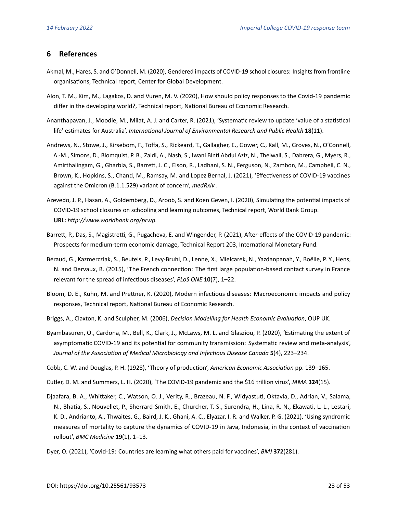# **6 References**

- <span id="page-22-5"></span>Akmal, M., Hares, S. and O'Donnell, M. (2020), Gendered impacts of COVID-19 school closures: Insights from frontline organisations, Technical report, Center for Global Development.
- <span id="page-22-8"></span>Alon, T. M., Kim, M., Lagakos, D. and Vuren, M. V. (2020), How should policy responses to the Covid-19 pandemic differ in the developing world?, Technical report, National Bureau of Economic Research.
- <span id="page-22-2"></span>Ananthapavan, J., Moodie, M., Milat, A. J. and Carter, R. (2021), 'Systematic review to update 'value of a statistical life' estimates for Australia', *International Journal of Environmental Research and Public Health* **18**(11).
- <span id="page-22-13"></span>Andrews, N., Stowe, J., Kirsebom, F., Toffa, S., Rickeard, T., Gallagher, E., Gower, C., Kall, M., Groves, N., O'Connell, A.-M., Simons, D., Blomquist, P. B., Zaidi, A., Nash, S., Iwani Binti Abdul Aziz, N., Thelwall, S., Dabrera, G., Myers, R., Amirthalingam, G., Gharbia, S., Barrett, J. C., Elson, R., Ladhani, S. N., Ferguson, N., Zambon, M., Campbell, C. N., Brown, K., Hopkins, S., Chand, M., Ramsay, M. and Lopez Bernal, J. (2021), 'Effectiveness of COVID-19 vaccines against the Omicron (B.1.1.529) variant of concern', *medRxiv* .
- <span id="page-22-6"></span>Azevedo, J. P., Hasan, A., Goldemberg, D., Aroob, S. and Koen Geven, I. (2020), Simulating the potential impacts of COVID-19 school closures on schooling and learning outcomes, Technical report, World Bank Group. **URL:** *http://www.worldbank.org/prwp.*
- <span id="page-22-7"></span>Barrett, P., Das, S., Magistretti, G., Pugacheva, E. and Wingender, P. (2021), After-effects of the COVID-19 pandemic: Prospects for medium-term economic damage, Technical Report 203, International Monetary Fund.
- <span id="page-22-9"></span>Béraud, G., Kazmercziak, S., Beutels, P., Levy-Bruhl, D., Lenne, X., Mielcarek, N., Yazdanpanah, Y., Boëlle, P. Y., Hens, N. and Dervaux, B. (2015), 'The French connection: The first large population-based contact survey in France relevant for the spread of infectious diseases', *PLoS ONE* **10**(7), 1–22.
- <span id="page-22-0"></span>Bloom, D. E., Kuhn, M. and Prettner, K. (2020), Modern infectious diseases: Macroeconomic impacts and policy responses, Technical report, National Bureau of Economic Research.
- <span id="page-22-3"></span>Briggs, A., Claxton, K. and Sculpher, M. (2006), *Decision Modelling for Health Economic Evaluation*, OUP UK.
- <span id="page-22-12"></span>Byambasuren, O., Cardona, M., Bell, K., Clark, J., McLaws, M. L. and Glasziou, P. (2020), 'Estimating the extent of asymptomatic COVID-19 and its potential for community transmission: Systematic review and meta-analysis', *Journal of the Association of Medical Microbiology and Infectious Disease Canada* **5**(4), 223–234.
- <span id="page-22-10"></span>Cobb, C. W. and Douglas, P. H. (1928), 'Theory of production', *American Economic Association* pp. 139–165.
- <span id="page-22-1"></span>Cutler, D. M. and Summers, L. H. (2020), 'The COVID-19 pandemic and the \$16 trillion virus', *JAMA* **324**(15).
- <span id="page-22-11"></span>Djaafara, B. A., Whittaker, C., Watson, O. J., Verity, R., Brazeau, N. F., Widyastuti, Oktavia, D., Adrian, V., Salama, N., Bhatia, S., Nouvellet, P., Sherrard-Smith, E., Churcher, T. S., Surendra, H., Lina, R. N., Ekawati, L. L., Lestari, K. D., Andrianto, A., Thwaites, G., Baird, J. K., Ghani, A. C., Elyazar, I. R. and Walker, P. G. (2021), 'Using syndromic measures of mortality to capture the dynamics of COVID-19 in Java, Indonesia, in the context of vaccination rollout', *BMC Medicine* **19**(1), 1–13.
- <span id="page-22-4"></span>Dyer, O. (2021), 'Covid-19: Countries are learning what others paid for vaccines', *BMJ* **372**(281).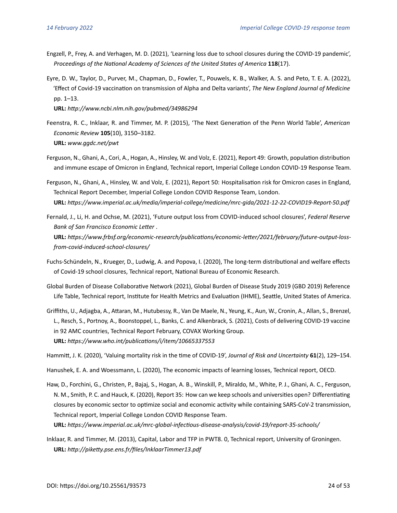- <span id="page-23-6"></span>Engzell, P., Frey, A. and Verhagen, M. D. (2021), 'Learning loss due to school closures during the COVID-19 pandemic', *Proceedings of the National Academy of Sciences of the United States of America* **118**(17).
- <span id="page-23-10"></span>Eyre, D. W., Taylor, D., Purver, M., Chapman, D., Fowler, T., Pouwels, K. B., Walker, A. S. and Peto, T. E. A. (2022), 'Effect of Covid-19 vaccination on transmission of Alpha and Delta variants', *The New England Journal of Medicine* pp. 1–13.

**URL:** *http://www.ncbi.nlm.nih.gov/pubmed/34986294*

- <span id="page-23-8"></span>Feenstra, R. C., Inklaar, R. and Timmer, M. P. (2015), 'The Next Generation of the Penn World Table', *American Economic Review* **105**(10), 3150–3182. **URL:** *www.ggdc.net/pwt*
- <span id="page-23-12"></span>Ferguson, N., Ghani, A., Cori, A., Hogan, A., Hinsley, W. and Volz, E. (2021), Report 49: Growth, population distribution and immune escape of Omicron in England, Technical report, Imperial College London COVID-19 Response Team.
- <span id="page-23-11"></span>Ferguson, N., Ghani, A., Hinsley, W. and Volz, E. (2021), Report 50: Hospitalisation risk for Omicron cases in England, Technical Report December, Imperial College London COVID Response Team, London. **URL:** *https://www.imperial.ac.uk/media/imperial-college/medicine/mrc-gida/2021-12-22-COVID19-Report-50.pdf*
- <span id="page-23-2"></span>Fernald, J., Li, H. and Ochse, M. (2021), 'Future output loss from COVID-induced school closures', *Federal Reserve Bank of San Francisco Economic Letter* .

**URL:** *https://www.frbsf.org/economic-research/publications/economic-letter/2021/february/future-output-lossfrom-covid-induced-school-closures/*

- <span id="page-23-7"></span>Fuchs-Schündeln, N., Krueger, D., Ludwig, A. and Popova, I. (2020), The long-term distributional and welfare effects of Covid-19 school closures, Technical report, National Bureau of Economic Research.
- <span id="page-23-4"></span>Global Burden of Disease Collaborative Network (2021), Global Burden of Disease Study 2019 (GBD 2019) Reference Life Table, Technical report, Institute for Health Metrics and Evaluation (IHME), Seattle, United States of America.
- <span id="page-23-5"></span>Griffiths, U., Adjagba, A., Attaran, M., Hutubessy, R., Van De Maele, N., Yeung, K., Aun, W., Cronin, A., Allan, S., Brenzel, L., Resch, S., Portnoy, A., Boonstoppel, L., Banks, C. and Alkenbrack, S. (2021), Costs of delivering COVID-19 vaccine in 92 AMC countries, Technical Report February, COVAX Working Group. **URL:** *https://www.who.int/publications/i/item/10665337553*

<span id="page-23-1"></span>Hammitt, J. K. (2020), 'Valuing mortality risk in the time of COVID-19', *Journal of Risk and Uncertainty* **61**(2), 129–154.

<span id="page-23-3"></span>Hanushek, E. A. and Woessmann, L. (2020), The economic impacts of learning losses, Technical report, OECD.

<span id="page-23-0"></span>Haw, D., Forchini, G., Christen, P., Bajaj, S., Hogan, A. B., Winskill, P., Miraldo, M., White, P. J., Ghani, A. C., Ferguson, N. M., Smith, P. C. and Hauck, K. (2020), Report 35: How can we keep schools and universities open? Differentiating closures by economic sector to optimize social and economic activity while containing SARS-CoV-2 transmission, Technical report, Imperial College London COVID Response Team.

**URL:** *https://www.imperial.ac.uk/mrc-global-infectious-disease-analysis/covid-19/report-35-schools/*

<span id="page-23-9"></span>Inklaar, R. and Timmer, M. (2013), Capital, Labor and TFP in PWT8. 0, Technical report, University of Groningen. **URL:** *http://piketty.pse.ens.fr/files/InklaarTimmer13.pdf*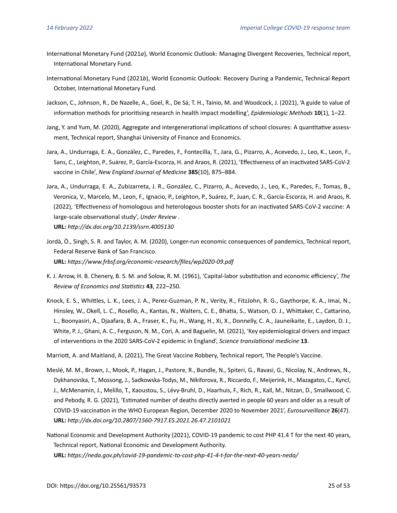- <span id="page-24-1"></span>International Monetary Fund (2021*a*), World Economic Outlook: Managing Divergent Recoveries, Technical report, International Monetary Fund.
- <span id="page-24-3"></span>International Monetary Fund (2021*b*), World Economic Outlook: Recovery During a Pandemic, Technical Report October, International Monetary Fund.
- <span id="page-24-11"></span>Jackson, C., Johnson, R., De Nazelle, A., Goel, R., De Sá, T. H., Tainio, M. and Woodcock, J. (2021), 'A guide to value of information methods for prioritising research in health impact modelling', *Epidemiologic Methods* **10**(1), 1–22.
- <span id="page-24-7"></span>Jang, Y. and Yum, M. (2020), Aggregate and intergenerational implications of school closures: A quantitative assessment, Technical report, Shanghai University of Finance and Economics.
- <span id="page-24-10"></span>Jara, A., Undurraga, E. A., González, C., Paredes, F., Fontecilla, T., Jara, G., Pizarro, A., Acevedo, J., Leo, K., Leon, F., Sans, C., Leighton, P., Suárez, P., García-Escorza, H. and Araos, R. (2021), 'Effectiveness of an inactivated SARS-CoV-2 vaccine in Chile', *New England Journal of Medicine* **385**(10), 875–884.
- <span id="page-24-5"></span>Jara, A., Undurraga, E. A., Zubizarreta, J. R., González, C., Pizarro, A., Acevedo, J., Leo, K., Paredes, F., Tomas, B., Veronica, V., Marcelo, M., Leon, F., Ignacio, P., Leighton, P., Suárez, P., Juan, C. R., García-Escorza, H. and Araos, R. (2022), 'Effectiveness of homologous and heterologous booster shots for an inactivated SARS-CoV-2 vaccine: A large-scale observational study', *Under Review* . **URL:** *http://dx.doi.org/10.2139/ssrn.4005130*
- <span id="page-24-2"></span>Jordà, Ò., Singh, S. R. and Taylor, A. M. (2020), Longer-run economic consequences of pandemics, Technical report, Federal Reserve Bank of San Francisco. **URL:** *https://www.frbsf.org/economic-research/files/wp2020-09.pdf*
- <span id="page-24-8"></span>K. J. Arrow, H. B. Chenery, B. S. M. and Solow, R. M. (1961), 'Capital-labor substitution and economic efficiency', *The Review of Economics and Statistics* **43**, 222–250.
- <span id="page-24-9"></span>Knock, E. S., Whittles, L. K., Lees, J. A., Perez-Guzman, P. N., Verity, R., FitzJohn, R. G., Gaythorpe, K. A., Imai, N., Hinsley, W., Okell, L. C., Rosello, A., Kantas, N., Walters, C. E., Bhatia, S., Watson, O. J., Whittaker, C., Cattarino, L., Boonyasiri, A., Djaafara, B. A., Fraser, K., Fu, H., Wang, H., Xi, X., Donnelly, C. A., Jauneikaite, E., Laydon, D. J., White, P. J., Ghani, A. C., Ferguson, N. M., Cori, A. and Baguelin, M. (2021), 'Key epidemiological drivers and impact of interventions in the 2020 SARS-CoV-2 epidemic in England', *Science translational medicine* **13**.

<span id="page-24-6"></span>Marriott, A. and Maitland, A. (2021), The Great Vaccine Robbery, Technical report, The People's Vaccine.

- <span id="page-24-0"></span>Meslé, M. M., Brown, J., Mook, P., Hagan, J., Pastore, R., Bundle, N., Spiteri, G., Ravasi, G., Nicolay, N., Andrews, N., Dykhanovska, T., Mossong, J., Sadkowska-Todys, M., Nikiforova, R., Riccardo, F., Meijerink, H., Mazagatos, C., Kyncl, J., McMenamin, J., Melillo, T., Kaoustou, S., Lévy-Bruhl, D., Haarhuis, F., Rich, R., Kall, M., Nitzan, D., Smallwood, C. and Pebody, R. G. (2021), 'Estimated number of deaths directly averted in people 60 years and older as a result of COVID-19 vaccination in the WHO European Region, December 2020 to November 2021', *Eurosurveillance* **26**(47). **URL:** *http://dx.doi.org/10.2807/1560-7917.ES.2021.26.47.2101021*
- <span id="page-24-4"></span>National Economic and Development Authority (2021), COVID-19 pandemic to cost PHP 41.4 T for the next 40 years, Technical report, National Economic and Development Authority. **URL:** *https://neda.gov.ph/covid-19-pandemic-to-cost-php-41-4-t-for-the-next-40-years-neda/*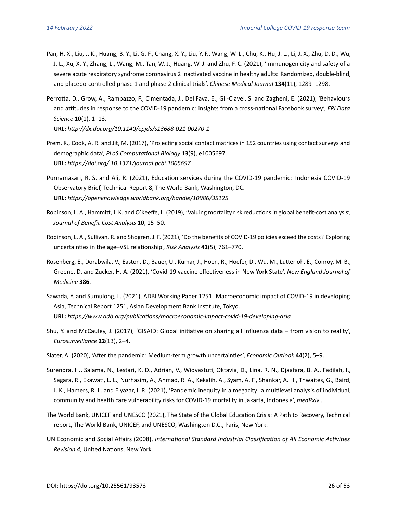- <span id="page-25-11"></span>Pan, H. X., Liu, J. K., Huang, B. Y., Li, G. F., Chang, X. Y., Liu, Y. F., Wang, W. L., Chu, K., Hu, J. L., Li, J. X., Zhu, D. D., Wu, J. L., Xu, X. Y., Zhang, L., Wang, M., Tan, W. J., Huang, W. J. and Zhu, F. C. (2021), 'Immunogenicity and safety of a severe acute respiratory syndrome coronavirus 2 inactivated vaccine in healthy adults: Randomized, double-blind, and placebo-controlled phase 1 and phase 2 clinical trials', *Chinese Medical Journal* **134**(11), 1289–1298.
- <span id="page-25-8"></span>Perrotta, D., Grow, A., Rampazzo, F., Cimentada, J., Del Fava, E., Gil-Clavel, S. and Zagheni, E. (2021), 'Behaviours and attitudes in response to the COVID-19 pandemic: insights from a cross-national Facebook survey', *EPJ Data Science* **10**(1), 1–13.

**URL:** *http://dx.doi.org/10.1140/epjds/s13688-021-00270-1*

- <span id="page-25-10"></span>Prem, K., Cook, A. R. and Jit, M. (2017), 'Projecting social contact matrices in 152 countries using contact surveys and demographic data', *PLoS Computational Biology* **13**(9), e1005697. **URL:** *https://doi.org/ 10.1371/journal.pcbi.1005697*
- <span id="page-25-5"></span>Purnamasari, R. S. and Ali, R. (2021), Education services during the COVID-19 pandemic: Indonesia COVID-19 Observatory Brief, Technical Report 8, The World Bank, Washington, DC. **URL:** *https://openknowledge.worldbank.org/handle/10986/35125*
- <span id="page-25-0"></span>Robinson, L. A., Hammitt, J. K. and O'Keeffe, L. (2019), 'Valuing mortality risk reductions in global benefit-cost analysis', *Journal of Benefit-Cost Analysis* **10**, 15–50.
- <span id="page-25-1"></span>Robinson, L. A., Sullivan, R. and Shogren, J. F. (2021), 'Do the benefits of COVID-19 policies exceed the costs? Exploring uncertainties in the age–VSL relationship', *Risk Analysis* **41**(5), 761–770.
- <span id="page-25-12"></span>Rosenberg, E., Dorabwila, V., Easton, D., Bauer, U., Kumar, J., Hoen, R., Hoefer, D., Wu, M., Lutterloh, E., Conroy, M. B., Greene, D. and Zucker, H. A. (2021), 'Covid-19 vaccine effectiveness in New York State', *New England Journal of Medicine* **386**.
- <span id="page-25-2"></span>Sawada, Y. and Sumulong, L. (2021), ADBI Working Paper 1251: Macroeconomic impact of COVID-19 in developing Asia, Technical Report 1251, Asian Development Bank Institute, Tokyo. **URL:** *https://www.adb.org/publications/macroeconomic-impact-covid-19-developing-asia*
- <span id="page-25-9"></span>Shu, Y. and McCauley, J. (2017), 'GISAID: Global initiative on sharing all influenza data – from vision to reality', *Eurosurveillance* **22**(13), 2–4.
- <span id="page-25-7"></span>Slater, A. (2020), 'After the pandemic: Medium-term growth uncertainties', *Economic Outlook* **44**(2), 5–9.
- <span id="page-25-6"></span>Surendra, H., Salama, N., Lestari, K. D., Adrian, V., Widyastuti, Oktavia, D., Lina, R. N., Djaafara, B. A., Fadilah, I., Sagara, R., Ekawati, L. L., Nurhasim, A., Ahmad, R. A., Kekalih, A., Syam, A. F., Shankar, A. H., Thwaites, G., Baird, J. K., Hamers, R. L. and Elyazar, I. R. (2021), 'Pandemic inequity in a megacity: a multilevel analysis of individual, community and health care vulnerability risks for COVID-19 mortality in Jakarta, Indonesia', *medRxiv* .
- <span id="page-25-3"></span>The World Bank, UNICEF and UNESCO (2021), The State of the Global Education Crisis: A Path to Recovery, Technical report, The World Bank, UNICEF, and UNESCO, Washington D.C., Paris, New York.
- <span id="page-25-4"></span>UN Economic and Social Affairs (2008), *International Standard Industrial Classification of All Economic Activities Revision 4*, United Nations, New York.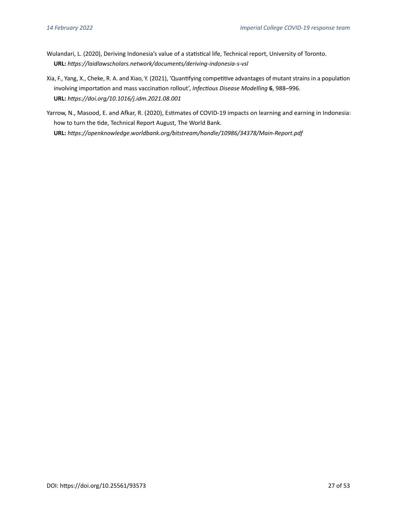- <span id="page-26-0"></span>Wulandari, L. (2020), Deriving Indonesia's value of a statistical life, Technical report, University of Toronto. **URL:** *https://laidlawscholars.network/documents/deriving-indonesia-s-vsl*
- <span id="page-26-2"></span>Xia, F., Yang, X., Cheke, R. A. and Xiao, Y. (2021), 'Quantifying competitive advantages of mutant strains in a population involving importation and mass vaccination rollout', *Infectious Disease Modelling* **6**, 988–996. **URL:** *https://doi.org/10.1016/j.idm.2021.08.001*
- <span id="page-26-1"></span>Yarrow, N., Masood, E. and Afkar, R. (2020), Estimates of COVID-19 impacts on learning and earning in Indonesia: how to turn the tide, Technical Report August, The World Bank. **URL:** *https://openknowledge.worldbank.org/bitstream/handle/10986/34378/Main-Report.pdf*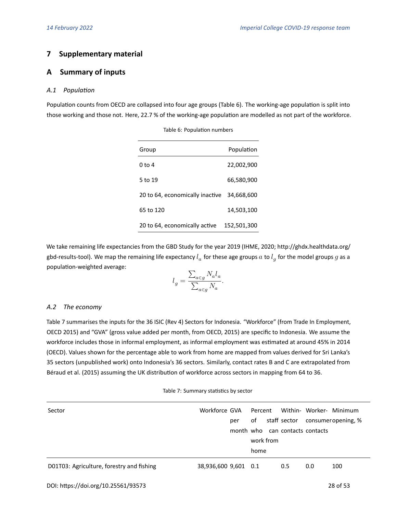# **7 Supplementary material**

# <span id="page-27-0"></span>**A Summary of inputs**

#### *A.1 Population*

<span id="page-27-3"></span>Population counts from OECD are collapsed into four age groups (Table [6\)](#page-27-3). The working-age population is split into those working and those not. Here, 22.7 % of the working-age population are modelled as not part of the workforce.

| Group                           | Population  |
|---------------------------------|-------------|
| 0 to 4                          | 22,002,900  |
| 5 to 19                         | 66,580,900  |
| 20 to 64, economically inactive | 34.668.600  |
| 65 to 120                       | 14,503,100  |
| 20 to 64, economically active   | 152,501,300 |

#### Table 6: Population numbers

We take remaining life expectancies from the GBD Study for the year 2019 (IHME, 2020; [http://ghdx.healthdata.org/](http://ghdx.healthdata.org/gbd-results-tool) [gbd-results-tool\)](http://ghdx.healthdata.org/gbd-results-tool). We map the remaining life expectancy  $l_a$  for these age groups  $a$  to  $l_g$  for the model groups  $g$  as a population-weighted average:

$$
l_g = \frac{\sum_{a \in g} N_a l_a}{\sum_{a \in g} N_a}.
$$

#### <span id="page-27-1"></span>*A.2 The economy*

Table [7](#page-27-2) summarises the inputs for the 36 ISIC (Rev 4) Sectors for Indonesia. "Workforce" (from Trade In Employment, OECD 2015) and "GVA" (gross value added per month, from OECD, 2015) are specific to Indonesia. We assume the workforce includes those in informal employment, as informal employment was estimated at around 45% in 2014 (OECD). Values shown for the percentage able to work from home are mapped from values derived for Sri Lanka's 35 sectors (unpublished work) onto Indonesia's 36 sectors. Similarly, contact rates B and C are extrapolated from [Béraud et al. \(2015\)](#page-22-9) assuming the UK distribution of workforce across sectors in mapping from 64 to 36.

<span id="page-27-2"></span>

| Sector                                    | Workforce GVA        |     | Percent   |     |                                 | Within- Worker- Minimum         |
|-------------------------------------------|----------------------|-----|-----------|-----|---------------------------------|---------------------------------|
|                                           |                      | per | of        |     |                                 | staff sector consumeropening, % |
|                                           |                      |     |           |     | month who can contacts contacts |                                 |
|                                           |                      |     | work from |     |                                 |                                 |
|                                           |                      |     | home      |     |                                 |                                 |
| D01T03: Agriculture, forestry and fishing | 38,936,600 9,601 0.1 |     |           | 0.5 | 0.0                             | 100                             |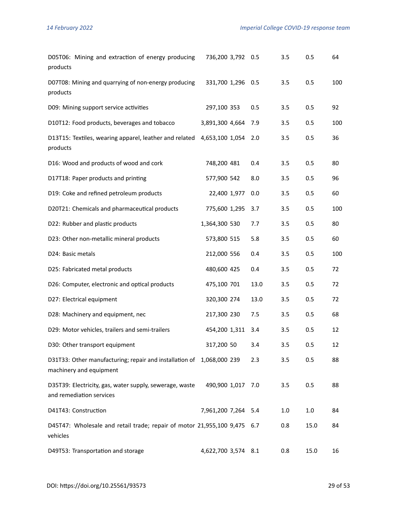| D05T06: Mining and extraction of energy producing<br>products                                    | 736,200 3,792 0.5   |      | 3.5 | 0.5     | 64  |
|--------------------------------------------------------------------------------------------------|---------------------|------|-----|---------|-----|
| D07T08: Mining and quarrying of non-energy producing<br>products                                 | 331,700 1,296 0.5   |      | 3.5 | 0.5     | 100 |
| D09: Mining support service activities                                                           | 297,100 353         | 0.5  | 3.5 | 0.5     | 92  |
| D10T12: Food products, beverages and tobacco                                                     | 3,891,300 4,664     | 7.9  | 3.5 | 0.5     | 100 |
| D13T15: Textiles, wearing apparel, leather and related<br>products                               | 4,653,100 1,054     | 2.0  | 3.5 | 0.5     | 36  |
| D16: Wood and products of wood and cork                                                          | 748,200 481         | 0.4  | 3.5 | 0.5     | 80  |
| D17T18: Paper products and printing                                                              | 577,900 542         | 8.0  | 3.5 | 0.5     | 96  |
| D19: Coke and refined petroleum products                                                         | 22,400 1,977        | 0.0  | 3.5 | 0.5     | 60  |
| D20T21: Chemicals and pharmaceutical products                                                    | 775,600 1,295       | 3.7  | 3.5 | 0.5     | 100 |
| D22: Rubber and plastic products                                                                 | 1,364,300 530       | 7.7  | 3.5 | 0.5     | 80  |
| D23: Other non-metallic mineral products                                                         | 573,800 515         | 5.8  | 3.5 | 0.5     | 60  |
| D24: Basic metals                                                                                | 212,000 556         | 0.4  | 3.5 | 0.5     | 100 |
| D25: Fabricated metal products                                                                   | 480,600 425         | 0.4  | 3.5 | 0.5     | 72  |
| D26: Computer, electronic and optical products                                                   | 475,100 701         | 13.0 | 3.5 | 0.5     | 72  |
| D27: Electrical equipment                                                                        | 320,300 274         | 13.0 | 3.5 | 0.5     | 72  |
| D28: Machinery and equipment, nec                                                                | 217,300 230         | 7.5  | 3.5 | 0.5     | 68  |
| D29: Motor vehicles, trailers and semi-trailers                                                  | 454,200 1,311       | 3.4  | 3.5 | 0.5     | 12  |
| D30: Other transport equipment                                                                   | 317,200 50          | 3.4  | 3.5 | 0.5     | 12  |
| D31T33: Other manufacturing; repair and installation of 1,068,000 239<br>machinery and equipment |                     | 2.3  | 3.5 | 0.5     | 88  |
| D35T39: Electricity, gas, water supply, sewerage, waste<br>and remediation services              | 490,900 1,017       | 7.0  | 3.5 | 0.5     | 88  |
| D41T43: Construction                                                                             | 7,961,200 7,264 5.4 |      | 1.0 | $1.0\,$ | 84  |
| D45T47: Wholesale and retail trade; repair of motor 21,955,100 9,475 6.7<br>vehicles             |                     |      | 0.8 | 15.0    | 84  |
| D49T53: Transportation and storage                                                               | 4,622,700 3,574 8.1 |      | 0.8 | 15.0    | 16  |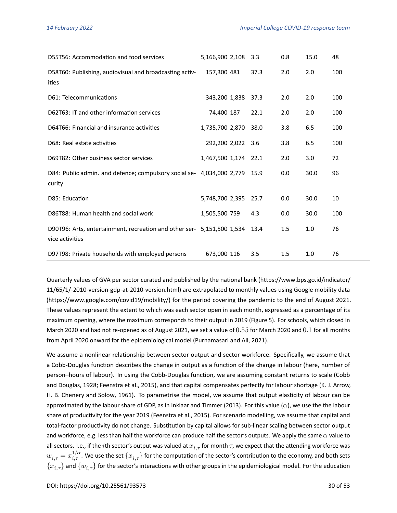| D55T56: Accommodation and food services                                                   | 5,166,900 2,108      | 3.3  | 0.8 | 15.0 | 48  |
|-------------------------------------------------------------------------------------------|----------------------|------|-----|------|-----|
| D58T60: Publishing, audiovisual and broadcasting activ-<br>ities                          | 157,300 481          | 37.3 | 2.0 | 2.0  | 100 |
| D61: Telecommunications                                                                   | 343,200 1,838        | 37.3 | 2.0 | 2.0  | 100 |
| D62T63: IT and other information services                                                 | 74,400 187           | 22.1 | 2.0 | 2.0  | 100 |
| D64T66: Financial and insurance activities                                                | 1,735,700 2,870      | 38.0 | 3.8 | 6.5  | 100 |
| D68: Real estate activities                                                               | 292,200 2,022        | 3.6  | 3.8 | 6.5  | 100 |
| D69T82: Other business sector services                                                    | 1,467,500 1,174 22.1 |      | 2.0 | 3.0  | 72  |
| D84: Public admin. and defence; compulsory social se- 4,034,000 2,779 15.9<br>curity      |                      |      | 0.0 | 30.0 | 96  |
| D85: Education                                                                            | 5,748,700 2,395      | 25.7 | 0.0 | 30.0 | 10  |
| D86T88: Human health and social work                                                      | 1,505,500 759        | 4.3  | 0.0 | 30.0 | 100 |
| D90T96: Arts, entertainment, recreation and other ser- 5,151,500 1,534<br>vice activities |                      | 13.4 | 1.5 | 1.0  | 76  |
| D97T98: Private households with employed persons                                          | 673,000 116          | 3.5  | 1.5 | 1.0  | 76  |

Quarterly values of GVA per sector curated and published by the national bank [\(https://www.bps.go.id/indicator/](https://www.bps.go.id/indicator/11/65/1/-2010-version-gdp-at-2010-version.html) [11/65/1/-2010-version-gdp-at-2010-version.html\)](https://www.bps.go.id/indicator/11/65/1/-2010-version-gdp-at-2010-version.html) are extrapolated to monthly values using Google mobility data [\(https://www.google.com/covid19/mobility/\)](https://www.google.com/covid19/mobility/) for the period covering the pandemic to the end of August 2021. These values represent the extent to which was each sector open in each month, expressed as a percentage of its maximum opening, where the maximum corresponds to their output in 2019 (Figure [5\)](#page-30-0). For schools, which closed in March 2020 and had not re-opened as of August 2021, we set a value of  $0.55$  for March 2020 and  $0.1$  for all months from April 2020 onward for the epidemiological model [\(Purnamasari and Ali, 2021\)](#page-25-5).

We assume a nonlinear relationship between sector output and sector workforce. Specifically, we assume that a Cobb-Douglas function describes the change in output as a function of the change in labour (here, number of person–hours of labour). In using the Cobb-Douglas function, we are assuming constant returns to scale [\(Cobb](#page-22-10) [and Douglas, 1928;](#page-22-10) [Feenstra et al., 2015\)](#page-23-8), and that capital compensates perfectly for labour shortage [\(K. J. Arrow,](#page-24-8) [H. B. Chenery and Solow, 1961\)](#page-24-8). To parametrise the model, we assume that output elasticity of labour can be approximatedby the labour share of GDP, as in [Inklaar and Timmer \(2013\)](#page-23-9). For this value ( $\alpha$ ), we use the the labour share of productivity for the year 2019 [\(Feenstra et al., 2015\)](#page-23-8). For scenario modelling, we assume that capital and total-factor productivity do not change. Substitution by capital allows for sub-linear scaling between sector output and workforce, e.g. less than half the workforce can produce half the sector's outputs. We apply the same  $\alpha$  value to all sectors. I.e., if the *i*th sector's output was valued at  $x_{i, \tau}$  for month  $\tau$ , we expect that the attending workforce was  $w_{i,\tau}=x_{i,\tau}^{1/\alpha}.$  We use the set  $\{x_{i,\tau}\}$  for the computation of the sector's contribution to the economy, and both sets  $\{x_{i,\tau}\}$  and  $\{w_{i,\tau}\}$  for the sector's interactions with other groups in the epidemiological model. For the education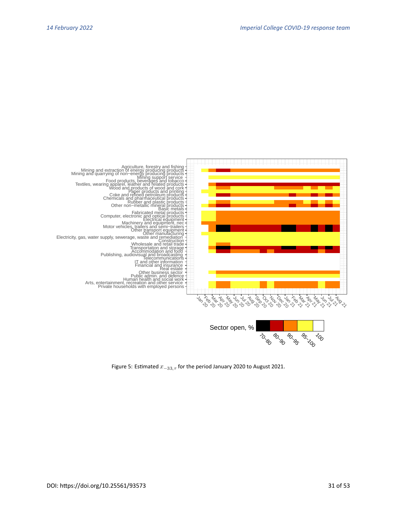<span id="page-30-0"></span>

Figure 5: Estimated  $x_{-33,\tau}$  for the period January 2020 to August 2021.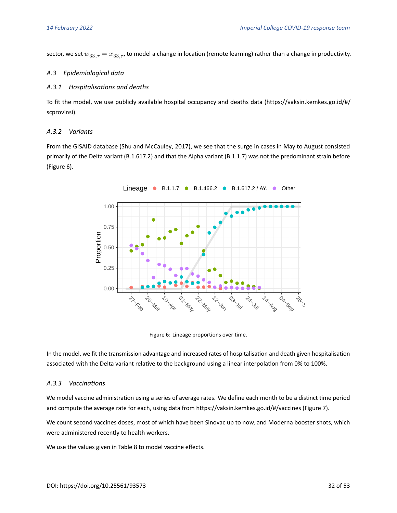sector, we set  $w_{33, \tau} = x_{33, \tau}$ , to model a change in location (remote learning) rather than a change in productivity.

#### *A.3 Epidemiological data*

#### *A.3.1 Hospitalisations and deaths*

To fit the model, we use publicly available hospital occupancy and deaths data [\(https://vaksin.kemkes.go.id/#/](https://vaksin.kemkes.go.id/#/scprovinsi) [scprovinsi\)](https://vaksin.kemkes.go.id/#/scprovinsi).

### *A.3.2 Variants*

<span id="page-31-0"></span>From the GISAID database [\(Shu and McCauley, 2017\)](#page-25-9), we see that the surge in cases in May to August consisted primarily of the Delta variant (B.1.617.2) and that the Alpha variant (B.1.1.7) was not the predominant strain before (Figure [6\)](#page-31-0).



Figure 6: Lineage proportions over time.

In the model, we fit the transmission advantage and increased rates of hospitalisation and death given hospitalisation associated with the Delta variant relative to the background using a linear interpolation from 0% to 100%.

#### *A.3.3 Vaccinations*

We model vaccine administration using a series of average rates. We define each month to be a distinct time period and compute the average rate for each, using data from<https://vaksin.kemkes.go.id/#/vaccines> (Figure [7\)](#page-32-0).

We count second vaccines doses, most of which have been Sinovac up to now, and Moderna booster shots, which were administered recently to health workers.

We use the values given in Table [8](#page-34-0) to model vaccine effects.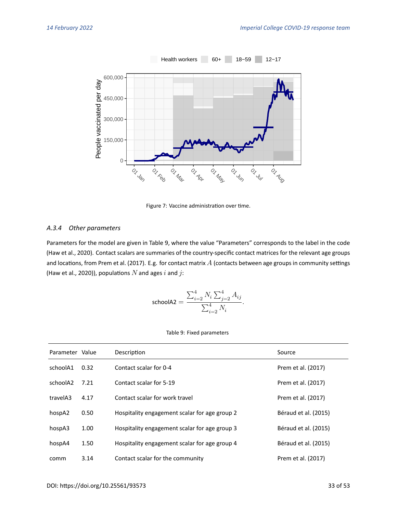<span id="page-32-0"></span>

Figure 7: Vaccine administration over time.

## *A.3.4 Other parameters*

Parameters for the model are given in Table [9,](#page-32-1) where the value "Parameters" corresponds to the label in the code [\(Haw et al., 2020\)](#page-23-0). Contact scalars are summaries of the country-specific contact matrices for the relevant age groups and locations, from [Prem et al. \(2017\)](#page-25-10). E.g. for contact matrix  $A$  (contacts between age groups in community settings [\(Haw et al., 2020\)](#page-23-0)), populations  $N$  and ages  $i$  and  $j$ :

$$
\text{schoolA2} = \frac{\sum_{i=2}^4 N_i \sum_{j=2}^4 A_{ij}}{\sum_{i=2}^4 N_i}.
$$

#### Table 9: Fixed parameters

<span id="page-32-1"></span>

| Parameter Value |      | Description                                   | Source               |
|-----------------|------|-----------------------------------------------|----------------------|
| schoolA1        | 0.32 | Contact scalar for 0-4                        | Prem et al. (2017)   |
| schoolA2        | 7.21 | Contact scalar for 5-19                       | Prem et al. (2017)   |
| travelA3        | 4.17 | Contact scalar for work travel                | Prem et al. (2017)   |
| hospA2          | 0.50 | Hospitality engagement scalar for age group 2 | Béraud et al. (2015) |
| hospA3          | 1.00 | Hospitality engagement scalar for age group 3 | Béraud et al. (2015) |
| hospA4          | 1.50 | Hospitality engagement scalar for age group 4 | Béraud et al. (2015) |
| comm            | 3.14 | Contact scalar for the community              | Prem et al. (2017)   |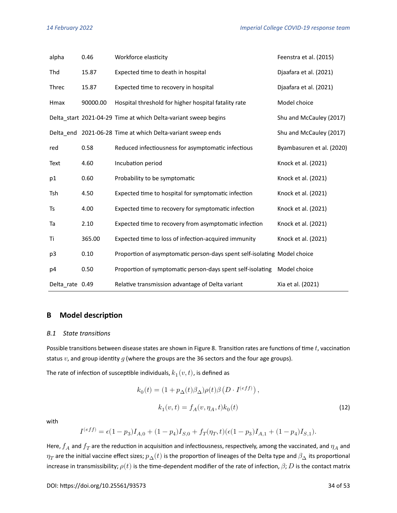| alpha           | 0.46     | Workforce elasticity                                                     | Feenstra et al. (2015)    |
|-----------------|----------|--------------------------------------------------------------------------|---------------------------|
| Thd             | 15.87    | Expected time to death in hospital                                       | Djaafara et al. (2021)    |
| Threc           | 15.87    | Expected time to recovery in hospital                                    | Djaafara et al. (2021)    |
| Hmax            | 90000.00 | Hospital threshold for higher hospital fatality rate                     | Model choice              |
|                 |          | Delta_start 2021-04-29 Time at which Delta-variant sweep begins          | Shu and McCauley (2017)   |
|                 |          | Delta_end 2021-06-28 Time at which Delta-variant sweep ends              | Shu and McCauley (2017)   |
| red             | 0.58     | Reduced infectiousness for asymptomatic infectious                       | Byambasuren et al. (2020) |
| Text            | 4.60     | Incubation period                                                        | Knock et al. (2021)       |
| p1              | 0.60     | Probability to be symptomatic                                            | Knock et al. (2021)       |
| Tsh             | 4.50     | Expected time to hospital for symptomatic infection                      | Knock et al. (2021)       |
| Ts              | 4.00     | Expected time to recovery for symptomatic infection                      | Knock et al. (2021)       |
| Ta              | 2.10     | Expected time to recovery from asymptomatic infection                    | Knock et al. (2021)       |
| Τi              | 365.00   | Expected time to loss of infection-acquired immunity                     | Knock et al. (2021)       |
| p3              | 0.10     | Proportion of asymptomatic person-days spent self-isolating Model choice |                           |
| p4              | 0.50     | Proportion of symptomatic person-days spent self-isolating               | Model choice              |
| Delta rate 0.49 |          | Relative transmission advantage of Delta variant                         | Xia et al. (2021)         |

# <span id="page-33-0"></span>**B Model description**

#### <span id="page-33-1"></span>*B.1 State transitions*

Possible transitions between disease states are shown in Figure [8.](#page-36-0) Transition rates are functions of time  $t$ , vaccination status  $v$ , and group identity  $g$  (where the groups are the 36 sectors and the four age groups).

The rate of infection of susceptible individuals,  $k_1(\overline{v},t)$ , is defined as

<span id="page-33-2"></span>
$$
k_0(t) = (1 + p_{\Delta}(t)\beta_{\Delta})\rho(t)\beta\left(D \cdot I^{(eff)}\right),
$$
  

$$
k_1(v, t) = f_A(v, \eta_A, t)k_0(t)
$$
 (12)

with

$$
I^{(eff)}=\epsilon(1-p_3)I_{A,0}+(1-p_4)I_{S,0}+f_T(\eta_T,t)(\epsilon(1-p_3)I_{A,1}+(1-p_4)I_{S,1}).
$$

Here,  $f_A$  and  $f_T$  are the reduction in acquisition and infectiousness, respectively, among the vaccinated, and  $\eta_A$  and  $\eta_T$  are the initial vaccine effect sizes;  $p_\Delta(t)$  is the proportion of lineages of the Delta type and  $\beta_\Delta$  its proportional increase in transmissibility;  $\rho(t)$  is the time-dependent modifier of the rate of infection,  $\beta$ ;  $D$  is the contact matrix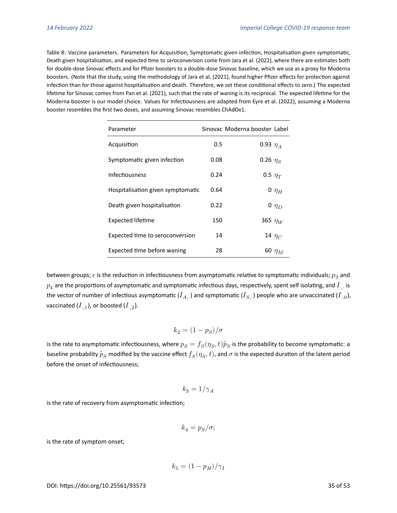<span id="page-34-0"></span>Table 8: Vaccine parameters. Parameters for Acquisition, Symptomatic given infection, Hospitalisation given symptomatic, Death given hospitalisation, and expected time to seroconversion come from [Jara et al. \(2022\)](#page-24-5), where there are estimates both for double-dose Sinovac effects and for Pfizer boosters to a double-dose Sinovac baseline, which we use as a proxy for Moderna boosters. (Note that the study, using the methodologyof [Jara et al. \(2021\)](#page-24-10), found higher Pfizer effects for protection against infection than for those against hospitalisation and death. Therefore, we set these conditional effects to zero.) The expected lifetime for Sinovac comes from [Pan et al. \(2021\)](#page-25-11), such that the rate of waning is its reciprocal. The expected lifetime for the Moderna booster is our model choice. Values for Infectiousness are adapted from [Eyre et al. \(2022\)](#page-23-10), assuming a Moderna booster resembles the first two doses, and assuming Sinovac resembles ChAdOx1.

| Parameter                         |      | Sinovac Moderna booster Label |             |
|-----------------------------------|------|-------------------------------|-------------|
| Acquisition                       | 0.5  | 0.93 $\eta_A$                 |             |
| Symptomatic given infection       | 0.08 | 0.26 $\eta_S$                 |             |
| Infectiousness                    | 0.24 | 0.5 $\eta_T$                  |             |
| Hospitalisation given symptomatic | 0.64 |                               | 0 $\eta_H$  |
| Death given hospitalisation       | 0.22 |                               | 0 $\eta_D$  |
| <b>Expected lifetime</b>          | 150  | 365 $\eta_W$                  |             |
| Expected time to seroconversion   | 14   |                               | 14 $\eta_C$ |
| Expected time before waning       | 28   |                               | 60 $\eta_M$ |

between groups;  $\epsilon$  is the reduction in infectiousness from asymptomatic relative to symptomatic individuals;  $p_3$  and  $p_4$  are the proportions of asymptomatic and symptomatic infectious days, respectively, spent self isolating, and  $I_{\cdot,\cdot}$  is the vector of number of infectious asymptomatic ( $I_{A}$ ) and symptomatic ( $I_{S}$ ) people who are unvaccinated ( $I_{\cdot,0}$ ), vaccinated  $(I_{-1})$ , or boosted  $(I_{-2})$ .

$$
k_2=(1-p_S)/\sigma
$$

is the rate to asymptomatic infectiousness, where  $p_S=f_S(\eta_S,t)\widehat{p}_S$  is the probability to become symptomatic: a baseline probability  $\widehat{p}_S$  modified by the vaccine effect  $f_S(\eta_S,t)$ , and  $\sigma$  is the expected duration of the latent period before the onset of infectiousness;

$$
k_3=1/\gamma_A
$$

is the rate of recovery from asymptomatic infection;

$$
k_4=p_S/\sigma;
$$

is the rate of symptom onset;

$$
k_5 = (1 - p_H)/\gamma_I
$$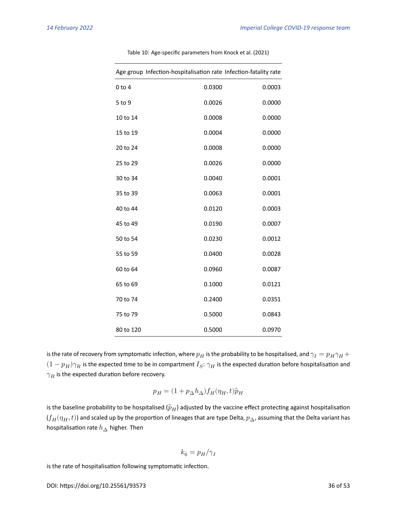| Age group Infection-hospitalisation rate Infection-fatality rate |        |        |
|------------------------------------------------------------------|--------|--------|
| $0$ to $4$                                                       | 0.0300 | 0.0003 |
| 5 to 9                                                           | 0.0026 | 0.0000 |
| 10 to 14                                                         | 0.0008 | 0.0000 |
| 15 to 19                                                         | 0.0004 | 0.0000 |
| 20 to 24                                                         | 0.0008 | 0.0000 |
| 25 to 29                                                         | 0.0026 | 0.0000 |
| 30 to 34                                                         | 0.0040 | 0.0001 |
| 35 to 39                                                         | 0.0063 | 0.0001 |
| 40 to 44                                                         | 0.0120 | 0.0003 |
| 45 to 49                                                         | 0.0190 | 0.0007 |
| 50 to 54                                                         | 0.0230 | 0.0012 |
| 55 to 59                                                         | 0.0400 | 0.0028 |
| 60 to 64                                                         | 0.0960 | 0.0087 |
| 65 to 69                                                         | 0.1000 | 0.0121 |
| 70 to 74                                                         | 0.2400 | 0.0351 |
| 75 to 79                                                         | 0.5000 | 0.0843 |
| 80 to 120                                                        | 0.5000 | 0.0970 |

Table 10: Age-specific parameters from [Knock et al. \(2021\)](#page-24-9)

is the rate of recovery from symptomatic infection, where  $p_H$  is the probability to be hospitalised, and  $\gamma_I=p_H\gamma_H+$  $(1-p_H)\gamma_R$  is the expected time to be in compartment  $I_S: \gamma_H$  is the expected duration before hospitalisation and  $\gamma_R$  is the expected duration before recovery.

$$
p_H = (1 + p_\Delta h_\Delta) f_H(\eta_H, t) \hat{p}_H
$$

is the baseline probability to be hospitalised ( $\hat{p}_H$ ) adjusted by the vaccine effect protecting against hospitalisation  $(f_H(\eta_H,t))$  and scaled up by the proportion of lineages that are type Delta,  $p_\Delta$ , assuming that the Delta variant has hospitalisation rate  $h_{\Delta}$  higher. Then

$$
k_6=p_H/\gamma_I
$$

is the rate of hospitalisation following symptomatic infection.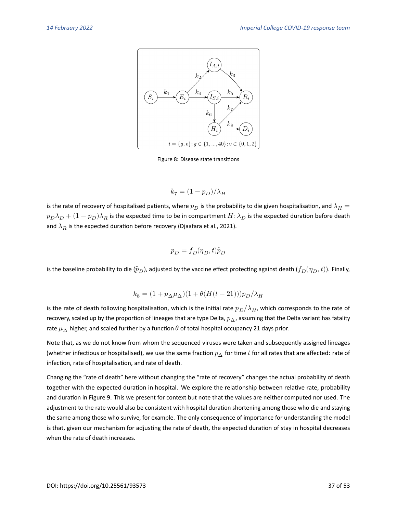<span id="page-36-0"></span>

Figure 8: Disease state transitions

$$
k_7=(1-p_D)/\lambda_H
$$

is the rate of recovery of hospitalised patients, where  $p_D$  is the probability to die given hospitalisation, and  $\lambda_H=$  $p_D\lambda_D + (1-p_D)\lambda_R$  is the expected time to be in compartment  $H: \lambda_D$  is the expected duration before death and  $\lambda_R$  is the expected duration before recovery [\(Djaafara et al., 2021\)](#page-22-11).

$$
p_D = f_D(\eta_D, t)\hat{p}_D
$$

is the baseline probability to die ( $(\hat{p}_D)$ , adjusted by the vaccine effect protecting against death  $(f_D(\eta_D, t))$ . Finally,

$$
k_8 = (1+p_\Delta \mu_\Delta)(1+\theta(H(t-21)))p_D/\lambda_H
$$

is the rate of death following hospitalisation, which is the initial rate  $p_D/\lambda_H$ , which corresponds to the rate of recovery, scaled up by the proportion of lineages that are type Delta,  $p_{\Delta}$ , assuming that the Delta variant has fatality rate  $\mu_{\Delta}$  higher, and scaled further by a function  $\theta$  of total hospital occupancy 21 days prior.

Note that, as we do not know from whom the sequenced viruses were taken and subsequently assigned lineages (whether infectious or hospitalised), we use the same fraction  $p_A$  for time t for all rates that are affected: rate of infection, rate of hospitalisation, and rate of death.

Changing the "rate of death" here without changing the "rate of recovery" changes the actual probability of death together with the expected duration in hospital. We explore the relationship between relative rate, probability and duration in Figure [9.](#page-37-0) This we present for context but note that the values are neither computed nor used. The adjustment to the rate would also be consistent with hospital duration shortening among those who die and staying the same among those who survive, for example. The only consequence of importance for understanding the model is that, given our mechanism for adjusting the rate of death, the expected duration of stay in hospital decreases when the rate of death increases.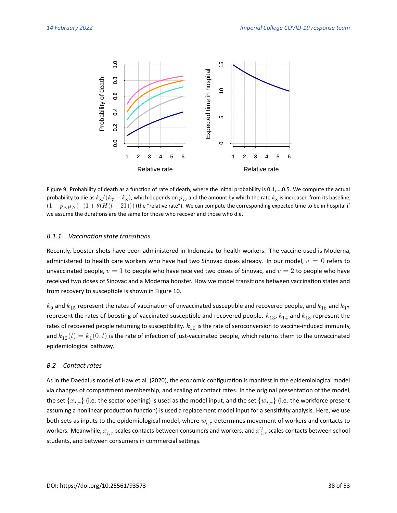<span id="page-37-0"></span>

Figure 9: Probability of death as a function of rate of death, where the initial probability is 0.1,…,0.5. We compute the actual probability to die as  $k_8/(k_7+k_8)$ , which depends on  $p_D$  and the amount by which the rate  $k_8$  is increased from its baseline,  $(1+p_\Delta\mu_\Delta)\cdot(1+\theta(H(t-21)))$  (the "relative rate"). We can compute the corresponding expected time to be in hospital if we assume the durations are the same for those who recover and those who die.

#### *B.1.1 Vaccination state transitions*

Recently, booster shots have been administered in Indonesia to health workers. The vaccine used is Moderna, administered to health care workers who have had two Sinovac doses already. In our model,  $v = 0$  refers to unvaccinated people,  $v = 1$  to people who have received two doses of Sinovac, and  $v = 2$  to people who have received two doses of Sinovac and a Moderna booster. How we model transitions between vaccination states and from recovery to susceptible is shown in Figure [10.](#page-38-0)

 $k_9$  and  $k_{15}$  represent the rates of vaccination of unvaccinated susceptible and recovered people, and  $k_{16}$  and  $k_{17}$ represent the rates of boosting of vaccinated susceptible and recovered people.  $k_{13}$ ,  $k_{14}$  and  $k_{18}$  represent the rates of recovered people returning to susceptibility.  $k_{10}$  is the rate of seroconversion to vaccine-induced immunity, and  $k_{12}(t)=k_1(0,t)$  is the rate of infection of just-vaccinated people, which returns them to the unvaccinated epidemiological pathway.

#### *B.2 Contact rates*

As in the Daedalus modelof [Haw et al. \(2020\)](#page-23-0), the economic configuration is manifest in the epidemiological model via changes of compartment membership, and scaling of contact rates. In the original presentation of the model, the set  ${x_{i,\tau}}$  (i.e. the sector opening) is used as the model input, and the set  ${w_{i,\tau}}$  (i.e. the workforce present assuming a nonlinear production function) is used a replacement model input for a sensitivity analysis. Here, we use both sets as inputs to the epidemiological model, where  $w_{i,\tau}$  determines movement of workers and contacts to workers. Meanwhile,  $x_{i,\tau}$  scales contacts between consumers and workers, and  $x_{i,\tau}^2$  scales contacts between school students, and between consumers in commercial settings.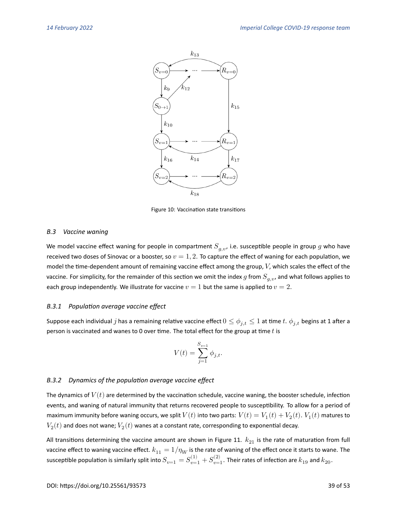<span id="page-38-0"></span>

Figure 10: Vaccination state transitions

#### *B.3 Vaccine waning*

We model vaccine effect waning for people in compartment  $S_{q,v}$ , i.e. susceptible people in group g who have received two doses of Sinovac or a booster, so  $v = 1, 2$ . To capture the effect of waning for each population, we model the time-dependent amount of remaining vaccine effect among the group,  $V$ , which scales the effect of the vaccine. For simplicity, for the remainder of this section we omit the index  $g$  from  $S_{g,v}$ , and what follows applies to each group independently. We illustrate for vaccine  $v = 1$  but the same is applied to  $v = 2$ .

#### *B.3.1 Population average vaccine effect*

Suppose each individual *j* has a remaining relative vaccine effect  $0 \le \phi_{i,t} \le 1$  at time *t*.  $\phi_{i,t}$  begins at 1 after a person is vaccinated and wanes to 0 over time. The total effect for the group at time  $t$  is

$$
V(t) = \sum_{j=1}^{S_{v=1}} \phi_{j,t}.
$$

#### *B.3.2 Dynamics of the population average vaccine effect*

The dynamics of  $V(t)$  are determined by the vaccination schedule, vaccine waning, the booster schedule, infection events, and waning of natural immunity that returns recovered people to susceptibility. To allow for a period of maximum immunity before waning occurs, we split  $V(t)$  into two parts:  $V(t)=V_1(t)+V_2(t).$   $V_1(t)$  matures to  $V_2(t)$  and does not wane;  $V_2(t)$  wanes at a constant rate, corresponding to exponential decay.

All transitions determining the vaccine amount are shown in Figure [11.](#page-39-0)  $k_{21}$  is the rate of maturation from full vaccine effect to waning vaccine effect.  $k_{11} = 1/\eta_W$  is the rate of waning of the effect once it starts to wane. The susceptible population is similarly split into  $S_{v=1}=S_{v=1}^{(1)}+S_{v=1}^{(2)}.$  Their rates of infection are  $k_{19}$  and  $k_{20}.$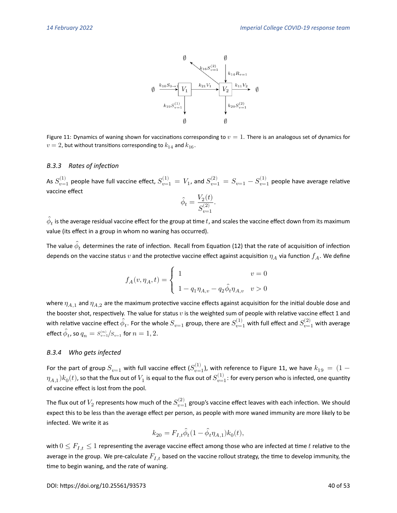

<span id="page-39-0"></span>Figure 11: Dynamics of waning shown for vaccinations corresponding to  $v=1$ . There is an analogous set of dynamics for  $v = 2$ , but without transitions corresponding to  $k_{14}$  and  $k_{16}$ .

#### *B.3.3 Rates of infection*

As  $S_{v=1}^{(1)}$  people have full vaccine effect,  $S_{v=1}^{(1)}=V_1$ , and  $S_{v=1}^{(2)}=S_{v=1}-S_{v=1}^{(1)}$  people have average relative vaccine effect

$$
\hat{\phi}_t = \frac{V_2(t)}{S_{v=1}^{(2)}}.
$$

 $\hat{\phi}_t$  is the average residual vaccine effect for the group at time  $t$ , and scales the vaccine effect down from its maximum value (its effect in a group in whom no waning has occurred).

The value  $\hat{\phi}_t$  determines the rate of infection. Recall from Equation [\(12\)](#page-33-2) that the rate of acquisition of infection depends on the vaccine status  $v$  and the protective vaccine effect against acquisition  $\eta_A$  via function  $f_A$ . We define

$$
f_A(v,\eta_A,t)=\left\{\begin{array}{ll}1&v=0\\ \\ 1-q_1\eta_{A,v}-q_2\hat{\phi}_t\eta_{A,v}&v>0\end{array}\right.
$$

where  $\eta_{A,1}$  and  $\eta_{A,2}$  are the maximum protective vaccine effects against acquisition for the initial double dose and the booster shot, respectively. The value for status  $v$  is the weighted sum of people with relative vaccine effect 1 and with relative vaccine effect  $\hat{\phi}_t$ . For the whole  $S_{v=1}$  group, there are  $S_{v=1}^{(1)}$  with full effect and  $S_{v=1}^{(2)}$  with average effect  $\widehat{\phi}_t$ , so  $q_n = s_{v=1}^{(n)}/s_{v=1}$  for  $n=1,2.$ 

#### *B.3.4 Who gets infected*

For the part of group  $S_{v=1}$  with full vaccine effect  $(S_{v=1}^{(1)}$ ), with reference to Figure [11,](#page-39-0) we have  $k_{19}\,=\,(1\,-1)$  $(\eta_{A,1})k_0(t)$ , so that the flux out of  $V_1$  is equal to the flux out of  $S_{v=1}^{(1)}$ : for every person who is infected, one quantity of vaccine effect is lost from the pool.

The flux out of  $V_2$  represents how much of the  $S_{v=1}^{(2)}$  group's vaccine effect leaves with each infection. We should expect this to be less than the average effect per person, as people with more waned immunity are more likely to be infected. We write it as

$$
k_{20}=F_{I,t}\hat{\phi}_t(1-\hat{\phi}_t\eta_{A,1})k_0(t),
$$

with  $0 \leq F_{I,t} \leq 1$  representing the average vaccine effect among those who are infected at time t relative to the average in the group. We pre-calculate  $F_{I,t}$  based on the vaccine rollout strategy, the time to develop immunity, the time to begin waning, and the rate of waning.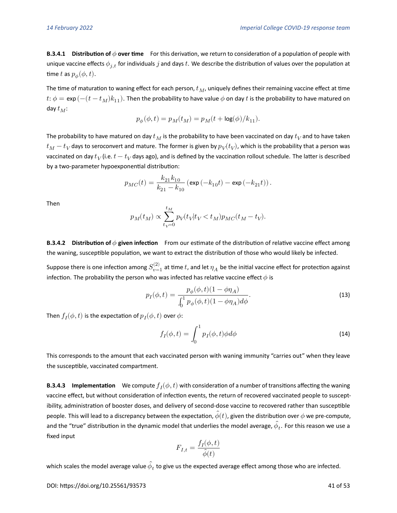**B.3.4.1 Distribution of over time** For this derivation, we return to consideration of a population of people with unique vaccine effects  $\phi_{i,t}$  for individuals j and days t. We describe the distribution of values over the population at time  $t$  as  $p_{\phi}(\phi, t).$ 

The time of maturation to waning effect for each person,  $t_M$ , uniquely defines their remaining vaccine effect at time  $t: \phi = \exp(-(t-t_M)k_{11}).$  Then the probability to have value  $\phi$  on day  $t$  is the probability to have matured on day  $t_M$ :

$$
p_\phi(\phi,t)=p_M(t_M)=p_M(t+\log(\phi)/k_{11}).
$$

The probability to have matured on day  $t_M$  is the probability to have been vaccinated on day  $t_V$ and to have taken  $t_M-t_V$ days to seroconvert and mature. The former is given by  $p_V(t_V)$ , which is the probability that a person was vaccinated on day  $t_V$  (i.e.  $t-t_V$ days ago), and is defined by the vaccination rollout schedule. The latter is described by a two-parameter hypoexponential distribution:

$$
p_{MC}(t) = \frac{k_{21}k_{10}}{k_{21}-k_{10}}\left(\exp\left(-k_{10}t\right)-\exp\left(-k_{21}t\right)\right).
$$

Then

$$
p_M(t_M) \propto \sum_{t_V=0}^{t_M} p_V(t_V | t_V < t_M) p_{MC}(t_M-t_V).
$$

**B.3.4.2** Distribution of  $\phi$  given infection From our estimate of the distribution of relative vaccine effect among the waning, susceptible population, we want to extract the distribution of those who would likely be infected.

Suppose there is one infection among  $S_{v=1}^{(2)}$  at time  $t$ , and let  $\eta_A$  be the initial vaccine effect for protection against infection. The probability the person who was infected has relative vaccine effect  $\phi$  is

$$
p_I(\phi, t) = \frac{p_{\phi}(\phi, t)(1 - \phi \eta_A)}{\int_0^1 p_{\phi}(\phi, t)(1 - \phi \eta_A) d\phi}.
$$
 (13)

Then  $f_I(\phi,t)$  is the expectation of  $p_I(\phi,t)$  over  $\phi$ :

$$
f_I(\phi, t) = \int_0^1 p_I(\phi, t) \phi d\phi \tag{14}
$$

This corresponds to the amount that each vaccinated person with waning immunity "carries out" when they leave the susceptible, vaccinated compartment.

**B.3.4.3** Implementation We compute  $f_I(\phi,t)$  with consideration of a number of transitions affecting the waning vaccine effect, but without consideration of infection events, the return of recovered vaccinated people to susceptibility, administration of booster doses, and delivery of second-dose vaccine to recovered rather than susceptible people. This will lead to a discrepancy between the expectation,  $\hat{\phi}(t)$ , given the distribution over  $\phi$  we pre-compute, and the "true" distribution in the dynamic model that underlies the model average,  $\widehat{\phi}_t.$  For this reason we use a fixed input

$$
F_{I,t} = \frac{f_I(\phi, t)}{\hat{\phi}(t)}
$$

which scales the model average value  $\widehat{\phi}_t$  to give us the expected average effect among those who are infected.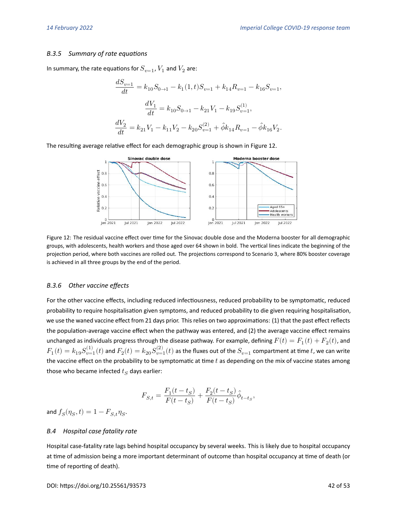#### *B.3.5 Summary of rate equations*

In summary, the rate equations for  $S_{v=1}$  ,  $V_{1}$  and  $V_{2}$  are:

$$
\begin{aligned} \frac{dS_{v=1}}{dt}=k_{10}S_{0\rightarrow1}-k_{1}(1,t)S_{v=1}+k_{14}R_{v=1}-k_{16}S_{v=1},\\ \frac{dV_{1}}{dt}=k_{10}S_{0\rightarrow1}-k_{21}V_{1}-k_{19}S_{v=1}^{(1)},\\ \frac{dV_{2}}{dt}=k_{21}V_{1}-k_{11}V_{2}-k_{20}S_{v=1}^{(2)}+\hat{\phi}k_{14}R_{v=1}-\hat{\phi}k_{16}V_{2}. \end{aligned}
$$

<span id="page-41-0"></span>The resulting average relative effect for each demographic group is shown in Figure [12.](#page-41-0)



Figure 12: The residual vaccine effect over time for the Sinovac double dose and the Moderna booster for all demographic groups, with adolescents, health workers and those aged over 64 shown in bold. The vertical lines indicate the beginning of the projection period, where both vaccines are rolled out. The projections correspond to Scenario 3, where 80% booster coverage is achieved in all three groups by the end of the period.

#### *B.3.6 Other vaccine effects*

For the other vaccine effects, including reduced infectiousness, reduced probability to be symptomatic, reduced probability to require hospitalisation given symptoms, and reduced probability to die given requiring hospitalisation, we use the waned vaccine effect from 21 days prior. This relies on two approximations: (1) that the past effect reflects the population-average vaccine effect when the pathway was entered, and (2) the average vaccine effect remains unchanged as individuals progress through the disease pathway. For example, defining  $F(t)=F_{1}(t)+F_{2}(t)$ , and  $F_1(t)=k_{19}S_{v=1}^{(1)}(t)$  and  $F_2(t)=k_{20}S_{v=1}^{(2)}(t)$  as the fluxes out of the  $S_{v=1}$  compartment at time  $t$ , we can write the vaccine effect on the probability to be symptomatic at time  $t$  as depending on the mix of vaccine states among those who became infected  $t_S$  days earlier:

$$
F_{S,t} = \frac{F_1(t-t_S)}{F(t-t_S)} + \frac{F_2(t-t_S)}{F(t-t_S)} \hat{\phi}_{t-t_S},
$$

and  $f_S(\eta_S,t) = 1-F_{S,t}\eta_S.$ 

#### *B.4 Hospital case fatality rate*

Hospital case-fatality rate lags behind hospital occupancy by several weeks. This is likely due to hospital occupancy at time of admission being a more important determinant of outcome than hospital occupancy at time of death (or time of reporting of death).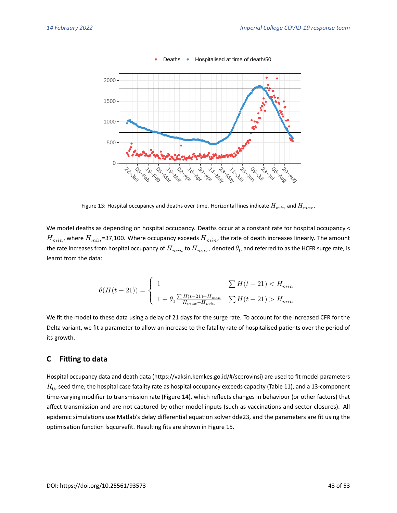

 $\bullet$ Deaths • Hospitalised at time of death/50

Figure 13: Hospital occupancy and deaths over time. Horizontal lines indicate  $H_{min}$  and  $H_{max}$ .

We model deaths as depending on hospital occupancy. Deaths occur at a constant rate for hospital occupancy <  $H_{min}$ , where  $H_{min}$ =37,100. Where occupancy exceeds  $H_{min}$ , the rate of death increases linearly. The amount the rate increases from hospital occupancy of  $H_{min}$  to  $H_{max}$ , denoted  $\theta_0$  and referred to as the HCFR surge rate, is learnt from the data:

$$
\theta(H(t-21)) = \left\{ \begin{array}{ll} 1 & \sum H(t-21) < H_{min} \\ & \\ 1 + \theta_0 \frac{\sum H(t-21) - H_{min}}{H_{max} - H_{min}} & \sum H(t-21) > H_{min} \end{array} \right.
$$

We fit the model to these data using a delay of 21 days for the surge rate. To account for the increased CFR for the Delta variant, we fit a parameter to allow an increase to the fatality rate of hospitalised patients over the period of its growth.

#### <span id="page-42-0"></span>**C Fitting to data**

Hospital occupancy data and death data [\(https://vaksin.kemkes.go.id/#/scprovinsi\)](https://vaksin.kemkes.go.id/#/scprovinsi) are used to fit model parameters  $R_{\rm 0}$ , seed time, the hospital case fatality rate as hospital occupancy exceeds capacity (Table [11\)](#page-44-0), and a 13-component time-varying modifier to transmission rate (Figure [14\)](#page-43-0), which reflects changes in behaviour (or other factors) that affect transmission and are not captured by other model inputs (such as vaccinations and sector closures). All epidemic simulations use Matlab's delay differential equation solver dde23, and the parameters are fit using the optimisation function lsqcurvefit. Resulting fits are shown in Figure [15.](#page-43-1)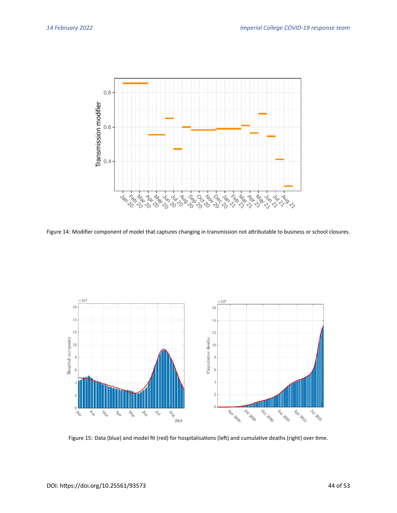<span id="page-43-0"></span>

Figure 14: Modifier component of model that captures changing in transmission not attributable to business or school closures.

<span id="page-43-1"></span>

Figure 15: Data (blue) and model fit (red) for hospitalisations (left) and cumulative deaths (right) over time.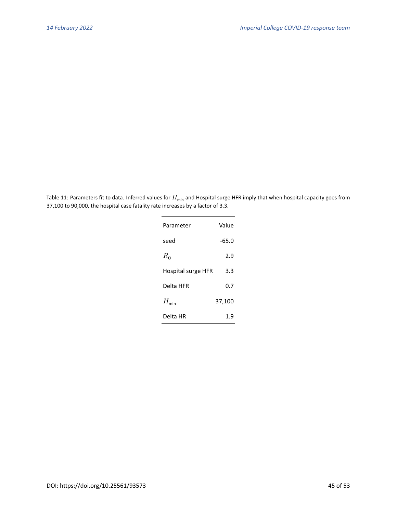<span id="page-44-0"></span>Table 11: Parameters fit to data. Inferred values for  $H_{\text{min}}$  and Hospital surge HFR imply that when hospital capacity goes from 37,100 to 90,000, the hospital case fatality rate increases by a factor of 3.3.

| Parameter          | Value   |
|--------------------|---------|
| seed               | $-65.0$ |
| $R_0$              | 2.9     |
| Hospital surge HFR | 3.3     |
| Delta HFR          | 0.7     |
| $H_{\min}$         | 37,100  |
| Delta HR           | 1.9     |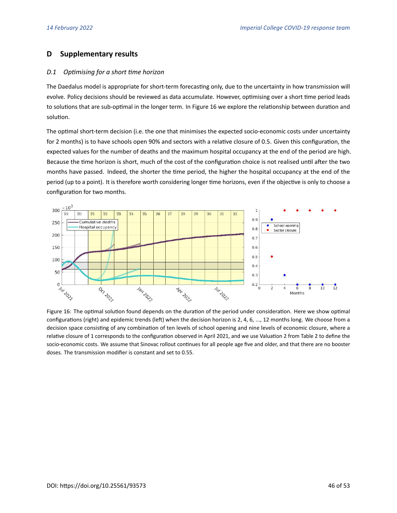# **D Supplementary results**

#### <span id="page-45-0"></span>*D.1 Optimising for a short time horizon*

The Daedalus model is appropriate for short-term forecasting only, due to the uncertainty in how transmission will evolve. Policy decisions should be reviewed as data accumulate. However, optimising over a short time period leads to solutions that are sub-optimal in the longer term. In Figure [16](#page-45-1) we explore the relationship between duration and solution.

The optimal short-term decision (i.e. the one that minimises the expected socio-economic costs under uncertainty for 2 months) is to have schools open 90% and sectors with a relative closure of 0.5. Given this configuration, the expected values for the number of deaths and the maximum hospital occupancy at the end of the period are high. Because the time horizon is short, much of the cost of the configuration choice is not realised until after the two months have passed. Indeed, the shorter the time period, the higher the hospital occupancy at the end of the period (up to a point). It is therefore worth considering longer time horizons, even if the objective is only to choose a configuration for two months.

<span id="page-45-1"></span>

Figure 16: The optimal solution found depends on the duration of the period under consideration. Here we show optimal configurations (right) and epidemic trends (left) when the decision horizon is 2, 4, 6, ..., 12 months long. We choose from a decision space consisting of any combination of ten levels of school opening and nine levels of economic closure, where a relative closure of 1 corresponds to the configuration observed in April 2021, and we use Valuation 2 from Table [2](#page-11-0) to define the socio-economic costs. We assume that Sinovac rollout continues for all people age five and older, and that there are no booster doses. The transmission modifier is constant and set to 0.55.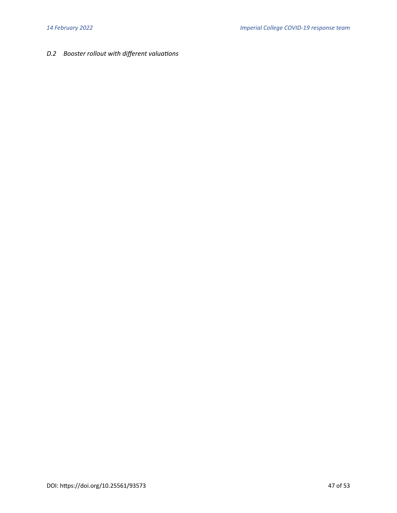# <span id="page-46-0"></span>*D.2 Booster rollout with different valuations*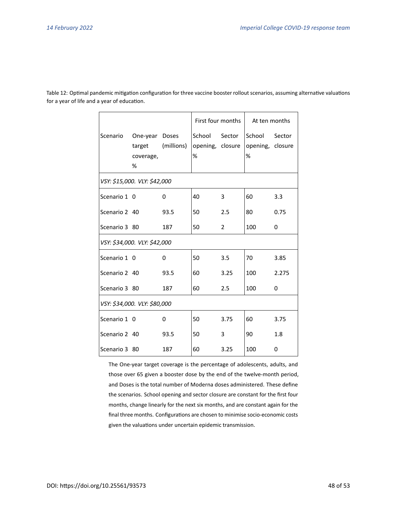|               |                                            |             | First four months               |                | At ten months                   |        |
|---------------|--------------------------------------------|-------------|---------------------------------|----------------|---------------------------------|--------|
| Scenario      | One-year Doses<br>target<br>coverage,<br>% | (millions)  | School<br>opening, closure<br>% | Sector         | School<br>opening, closure<br>% | Sector |
|               | VSY: \$15,000. VLY: \$42,000               |             |                                 |                |                                 |        |
| Scenario 1 0  |                                            | 0           | 40                              | 3              | 60                              | 3.3    |
| Scenario 2 40 |                                            | 93.5        | 50                              | 2.5            | 80                              | 0.75   |
| Scenario 3 80 |                                            | 187         | 50                              | $\overline{2}$ | 100                             | 0      |
|               | VSY: \$34,000. VLY: \$42,000               |             |                                 |                |                                 |        |
| Scenario 1 0  |                                            | 0           | 50                              | 3.5            | 70                              | 3.85   |
| Scenario 2 40 |                                            | 93.5        | 60                              | 3.25           | 100                             | 2.275  |
| Scenario 3 80 |                                            | 187         | 60                              | 2.5            | 100                             | 0      |
|               | VSY: \$34,000. VLY: \$80,000               |             |                                 |                |                                 |        |
| Scenario 1 0  |                                            | $\mathbf 0$ | 50                              | 3.75           | 60                              | 3.75   |
| Scenario 2 40 |                                            | 93.5        | 50                              | 3              | 90                              | 1.8    |
| Scenario 3 80 |                                            | 187         | 60                              | 3.25           | 100                             | 0      |

Table 12: Optimal pandemic mitigation configuration for three vaccine booster rollout scenarios, assuming alternative valuations for a year of life and a year of education.

> The One-year target coverage is the percentage of adolescents, adults, and those over 65 given a booster dose by the end of the twelve-month period, and Doses is the total number of Moderna doses administered. These define the scenarios. School opening and sector closure are constant for the first four months, change linearly for the next six months, and are constant again for the final three months. Configurations are chosen to minimise socio-economic costs given the valuations under uncertain epidemic transmission.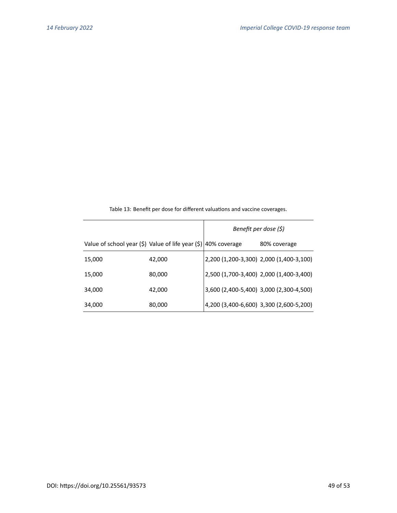|                                                                |        | Benefit per dose (\$)                   |
|----------------------------------------------------------------|--------|-----------------------------------------|
| Value of school year (\$) Value of life year (\$) 40% coverage |        | 80% coverage                            |
| 15,000                                                         | 42,000 | 2,200 (1,200-3,300) 2,000 (1,400-3,100) |
| 15,000                                                         | 80,000 | 2,500 (1,700-3,400) 2,000 (1,400-3,400) |
| 34,000                                                         | 42,000 | 3,600 (2,400-5,400) 3,000 (2,300-4,500) |
| 34,000                                                         | 80,000 | 4,200 (3,400-6,600) 3,300 (2,600-5,200) |

Table 13: Benefit per dose for different valuations and vaccine coverages.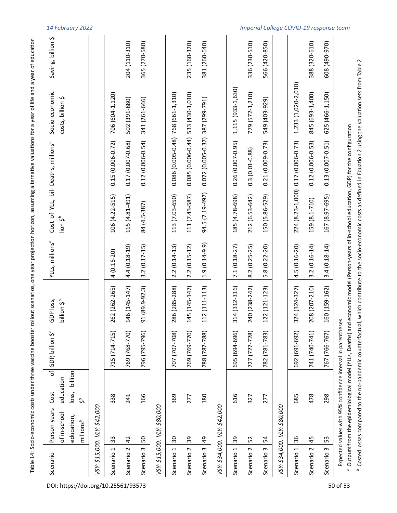|                       |                                                                     |                                                                      |                                                                                                                           |                                      |                             |                                      |                                                                                 | Table 14: Socio-economic costs under three vaccine booster rollout scenarios, one year projection horizon, assuming alternative valuations for a year of life and a year of education |                    |
|-----------------------|---------------------------------------------------------------------|----------------------------------------------------------------------|---------------------------------------------------------------------------------------------------------------------------|--------------------------------------|-----------------------------|--------------------------------------|---------------------------------------------------------------------------------|---------------------------------------------------------------------------------------------------------------------------------------------------------------------------------------|--------------------|
| Scenario              | Person-years<br>of in-school<br>education,<br>millions <sup>a</sup> | ৰ্চ<br>billion<br>education<br>loss,<br>Cost<br>$\frac{5}{\sqrt{2}}$ | ᡐᢆ<br>GDP, billion                                                                                                        | GDP loss,<br>billion \$ <sup>b</sup> | YLLS, millions <sup>a</sup> | Cost of YLL,<br>lion \$ <sup>b</sup> | bil-Deaths, millions <sup>a</sup>                                               | Socio-economic<br>costs, billion \$                                                                                                                                                   | Saving, billion \$ |
|                       | VSY: \$15,000. VLY: \$42,000                                        |                                                                      |                                                                                                                           |                                      |                             |                                      |                                                                                 |                                                                                                                                                                                       |                    |
| Scenario 1            | 33                                                                  | 338                                                                  | 715 (714-715)                                                                                                             | 262 (262-265)                        | $4(0.16 - 20)$              | 106 (4.22-515)                       | $0.15(0.006 - 0.72)$                                                            | 706 (604-1,120)                                                                                                                                                                       |                    |
| Scenario <sub>2</sub> | $\overline{4}$                                                      | 241                                                                  | 769 (768-770)                                                                                                             | 146 (145-147)                        | 4.4 (0.18-19)               | 115 (4.81-491)                       | 0.17 (0.007-0.68)                                                               | 502 (391-880)                                                                                                                                                                         | 204 (110-310)      |
| Scenario 3            | 50                                                                  | 166                                                                  | 796 (795-796)                                                                                                             | 91 (89.9-92.3)                       | $3.2(0.17 - 15)$            | 84 (4.5-387)                         | $0.12(0.006 - 0.54)$                                                            | 341 (261-646)                                                                                                                                                                         | 365 (270-580)      |
|                       | VSY: \$15,000. VLY: \$80,000                                        |                                                                      |                                                                                                                           |                                      |                             |                                      |                                                                                 |                                                                                                                                                                                       |                    |
| Scenario 1            | 50                                                                  | 369                                                                  | 707 (707-708)                                                                                                             | 286 (285-288)                        | $2.2(0.14-13)$              | 113 (7.03-650)                       | 0.086 (0.005-0.48) 768 (661-1,310)                                              |                                                                                                                                                                                       |                    |
| Scenario <sub>2</sub> | 39                                                                  | 277                                                                  | 769 (769-770)                                                                                                             | 145 (145-147)                        | $2.2(0.15-12)$              | 111 (7.43-587)                       | 0.085 (0.006-0.44) 533 (430-1,010)                                              |                                                                                                                                                                                       | 235 (160-320)      |
| Scenario 3            | $\overline{a}$                                                      | 180                                                                  | 788 (787-788)                                                                                                             | 112 (111-113)                        | $1.9(0.14 - 9.9)$           | 94.5 (7.19-497)                      | 0.072 (0.005-0.37) 387 (299-791)                                                |                                                                                                                                                                                       | 381 (260-640)      |
|                       | VSY: \$34,000. VLY: \$42,000                                        |                                                                      |                                                                                                                           |                                      |                             |                                      |                                                                                 |                                                                                                                                                                                       |                    |
| Scenario 1            | 39                                                                  | 616                                                                  | 695 (694-696)                                                                                                             | 314 (312-316)                        | $7.1(0.18-27)$              | 185 (4.78-698)                       | $0.26(0.007 - 0.95)$                                                            | 1,115 (933-1,630)                                                                                                                                                                     |                    |
| Scenario <sub>2</sub> | 52                                                                  | 327                                                                  | 727 (727-728)                                                                                                             | 240 (238-242)                        | $8.2(0.25-25)$              | 212 (6.53-642)                       | $0.3(0.01 - 0.88)$                                                              | 779 (572-1,210)                                                                                                                                                                       | 336 (230-510)      |
| Scenario 3            | 54                                                                  | 277                                                                  | 782 (781-783)                                                                                                             | 122 (121-123)                        | 5.8 (0.22-20)               | 150 (5.86-529)                       | $0.21(0.009 - 0.73)$                                                            | 549 (403-929)                                                                                                                                                                         | 566 (420-850)      |
|                       | VSY: \$34,000. VLY: \$80,000                                        |                                                                      |                                                                                                                           |                                      |                             |                                      |                                                                                 |                                                                                                                                                                                       |                    |
| Scenario 1            | 36                                                                  | 685                                                                  | 692 (691-692)                                                                                                             | 324 (324-327)                        | 4.5 (0.16-20)               |                                      | 224 (8.23-1,000) 0.17 (0.006-0.73)                                              | 1,233 (1,020-2,010)                                                                                                                                                                   |                    |
| Scenario <sub>2</sub> | 45                                                                  | 478                                                                  | 741 (740-741)                                                                                                             | 208 (207-210)                        | $3.2(0.16 - 14)$            | 159 (8.1-710)                        | $0.12(0.006 - 0.53)$                                                            | 845 (693-1,400)                                                                                                                                                                       | 388 (320-610)      |
| Scenario 3            | S                                                                   | 298                                                                  | 767 (766-767)                                                                                                             | 160 (159-162)                        | $3.4(0.18 - 14)$            | 167 (8.97-695)                       | $0.13(0.007 - 0.51)$                                                            | 625 (466-1,150)                                                                                                                                                                       | 608 (490-970)      |
|                       |                                                                     |                                                                      | Expected values with 95% confidence interval in parentheses.<br>Outputs from the epidemiological model (YLLs, Deaths) and |                                      |                             |                                      | economic model (Person-years of in-school education, GDP) for the configuration |                                                                                                                                                                                       |                    |

DOI: https://doi.org/10.25561/93573 50 of [53](#page-52-0)

<sup>b</sup> Costed losses compared to the no-pandemic counterfactual, which contribute to the socio-economic costs as defined in Equation 2 using the valuation sets from Table 2 Costed losses compared to the no-pandemic counterfactual, which contribute to the socio-economic costs as defined in Equation [2](#page-4-1) using the valuation sets from Table [2](#page-11-0)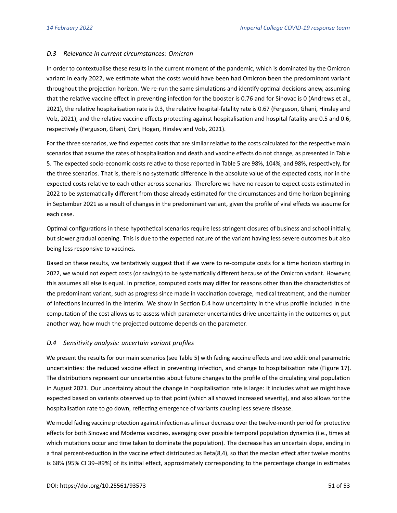### <span id="page-50-0"></span>*D.3 Relevance in current circumstances: Omicron*

In order to contextualise these results in the current moment of the pandemic, which is dominated by the Omicron variant in early 2022, we estimate what the costs would have been had Omicron been the predominant variant throughout the projection horizon. We re-run the same simulations and identify optimal decisions anew, assuming that the relative vaccine effect in preventing infection for the booster is 0.76 and for Sinovac is 0 [\(Andrews et al.,](#page-22-13) [2021\)](#page-22-13), the relative hospitalisation rate is 0.3, the relative hospital-fatality rate is 0.67 [\(Ferguson, Ghani, Hinsley and](#page-23-11) [Volz, 2021\)](#page-23-11), and the relative vaccine effects protecting against hospitalisation and hospital fatality are 0.5 and 0.6, respectively [\(Ferguson, Ghani, Cori, Hogan, Hinsley and Volz, 2021\)](#page-23-12).

For the three scenarios, we find expected costs that are similar relative to the costs calculated for the respective main scenarios that assume the rates of hospitalisation and death and vaccine effects do not change, as presented in Table [5.](#page-17-0) The expected socio-economic costs relative to those reported in Table [5](#page-17-0) are 98%, 104%, and 98%, respectively, for the three scenarios. That is, there is no systematic difference in the absolute value of the expected costs, nor in the expected costs relative to each other across scenarios. Therefore we have no reason to expect costs estimated in 2022 to be systematically different from those already estimated for the circumstances and time horizon beginning in September 2021 as a result of changes in the predominant variant, given the profile of viral effects we assume for each case.

Optimal configurations in these hypothetical scenarios require less stringent closures of business and school initially, but slower gradual opening. This is due to the expected nature of the variant having less severe outcomes but also being less responsive to vaccines.

Based on these results, we tentatively suggest that if we were to re-compute costs for a time horizon starting in 2022, we would not expect costs (or savings) to be systematically different because of the Omicron variant. However, this assumes all else is equal. In practice, computed costs may differ for reasons other than the characteristics of the predominant variant, such as progress since made in vaccination coverage, medical treatment, and the number of infections incurred in the interim. We show in Section [D.4](#page-50-1) how uncertainty in the virus profile included in the computation of the cost allows us to assess which parameter uncertainties drive uncertainty in the outcomes or, put another way, how much the projected outcome depends on the parameter.

# <span id="page-50-1"></span>*D.4 Sensitivity analysis: uncertain variant profiles*

We present the results for our main scenarios (see Table [5\)](#page-17-0) with fading vaccine effects and two additional parametric uncertainties: the reduced vaccine effect in preventing infection, and change to hospitalisation rate (Figure [17\)](#page-51-0). The distributions represent our uncertainties about future changes to the profile of the circulating viral population in August 2021. Our uncertainty about the change in hospitalisation rate is large: it includes what we might have expected based on variants observed up to that point (which all showed increased severity), and also allows for the hospitalisation rate to go down, reflecting emergence of variants causing less severe disease.

We model fading vaccine protection against infection as a linear decrease over the twelve-month period for protective effects for both Sinovac and Moderna vaccines, averaging over possible temporal population dynamics (i.e., times at which mutations occur and time taken to dominate the population). The decrease has an uncertain slope, ending in a final percent-reduction in the vaccine effect distributed as Beta(8,4), so that the median effect after twelve months is 68% (95% CI 39–89%) of its initial effect, approximately corresponding to the percentage change in estimates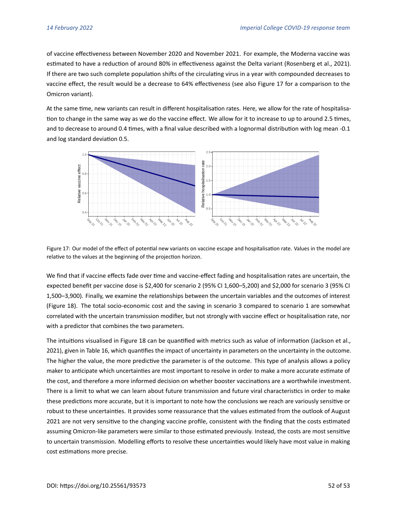of vaccine effectiveness between November 2020 and November 2021. For example, the Moderna vaccine was estimated to have a reduction of around 80% in effectiveness against the Delta variant [\(Rosenberg et al., 2021\)](#page-25-12). If there are two such complete population shifts of the circulating virus in a year with compounded decreases to vaccine effect, the result would be a decrease to 64% effectiveness (see also Figure [17](#page-51-0) for a comparison to the Omicron variant).

At the same time, new variants can result in different hospitalisation rates. Here, we allow for the rate of hospitalisation to change in the same way as we do the vaccine effect. We allow for it to increase to up to around 2.5 times, and to decrease to around 0.4 times, with a final value described with a lognormal distribution with log mean -0.1 and log standard deviation 0.5.

<span id="page-51-0"></span>

Figure 17: Our model of the effect of potential new variants on vaccine escape and hospitalisation rate. Values in the model are relative to the values at the beginning of the projection horizon.

We find that if vaccine effects fade over time and vaccine-effect fading and hospitalisation rates are uncertain, the expected benefit per vaccine dose is \$2,400 for scenario 2 (95% CI 1,600–5,200) and \$2,000 for scenario 3 (95% CI 1,500–3,900). Finally, we examine the relationships between the uncertain variables and the outcomes of interest (Figure [18\)](#page-52-1). The total socio-economic cost and the saving in scenario 3 compared to scenario 1 are somewhat correlated with the uncertain transmission modifier, but not strongly with vaccine effect or hospitalisation rate, nor with a predictor that combines the two parameters.

The intuitions visualised in Figure [18](#page-52-1) can be quantified with metrics such as value of information [\(Jackson et al.,](#page-24-11) [2021\)](#page-24-11), given in Table [16,](#page-52-2) which quantifies the impact of uncertainty in parameters on the uncertainty in the outcome. The higher the value, the more predictive the parameter is of the outcome. This type of analysis allows a policy maker to anticipate which uncertainties are most important to resolve in order to make a more accurate estimate of the cost, and therefore a more informed decision on whether booster vaccinations are a worthwhile investment. There is a limit to what we can learn about future transmission and future viral characteristics in order to make these predictions more accurate, but it is important to note how the conclusions we reach are variously sensitive or robust to these uncertainties. It provides some reassurance that the values estimated from the outlook of August 2021 are not very sensitive to the changing vaccine profile, consistent with the finding that the costs estimated assuming Omicron-like parameters were similar to those estimated previously. Instead, the costs are most sensitive to uncertain transmission. Modelling efforts to resolve these uncertainties would likely have most value in making cost estimations more precise.